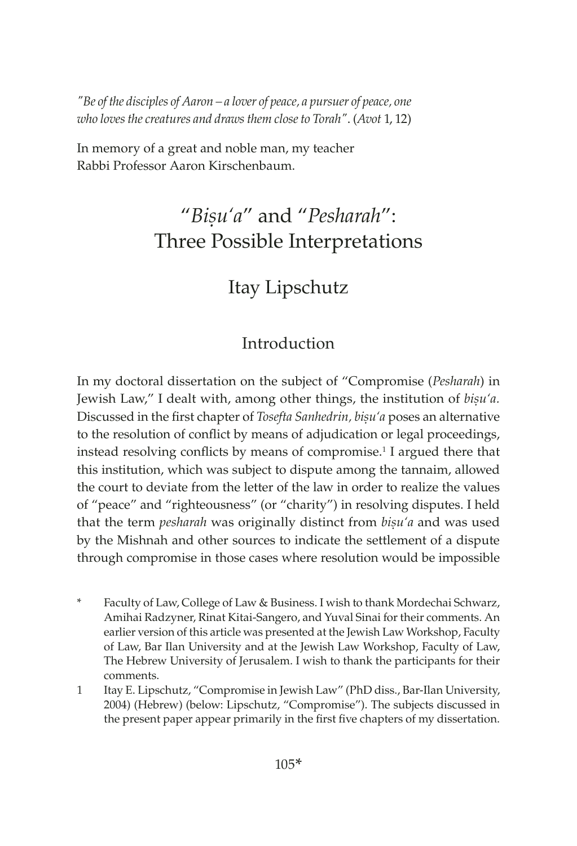*"Be of the disciples of Aaron – a lover of peace, a pursuer of peace, one who loves the creatures and draws them close to Torah"*. (*Avot* 1, 12)

In memory of a great and noble man, my teacher Rabbi Professor Aaron Kirschenbaum.

# "*Biúu'a*" and "*Pesharah*": Three Possible Interpretations

# Itay Lipschutz

# Introduction

In my doctoral dissertation on the subject of "Compromise (*Pesharah*) in Jewish Law," I dealt with, among other things, the institution of *bisu'a*. Discussed in the first chapter of *Tosefta Sanhedrin, bisu'a* poses an alternative to the resolution of conflict by means of adjudication or legal proceedings, instead resolving conflicts by means of compromise.<sup>1</sup> I argued there that this institution, which was subject to dispute among the tannaim, allowed the court to deviate from the letter of the law in order to realize the values of "peace" and "righteousness" (or "charity") in resolving disputes. I held that the term *pesharah* was originally distinct from *bisu'a* and was used by the Mishnah and other sources to indicate the settlement of a dispute through compromise in those cases where resolution would be impossible

- Faculty of Law, College of Law & Business. I wish to thank Mordechai Schwarz, Amihai Radzyner, Rinat Kitai-Sangero, and Yuval Sinai for their comments. An earlier version of this article was presented at the Jewish Law Workshop, Faculty of Law, Bar Ilan University and at the Jewish Law Workshop, Faculty of Law, The Hebrew University of Jerusalem. I wish to thank the participants for their comments.
- 1 Itay E. Lipschutz, "Compromise in Jewish Law" (PhD diss., Bar-Ilan University, 2004) (Hebrew) (below: Lipschutz, "Compromise"). The subjects discussed in the present paper appear primarily in the first five chapters of my dissertation.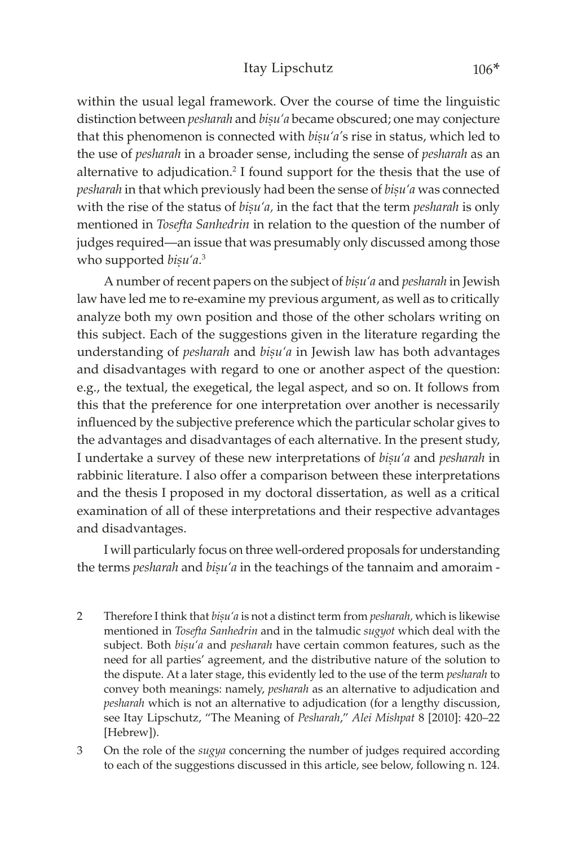### Itay Lipschutz 106\*

within the usual legal framework. Over the course of time the linguistic distinction between *pesharah* and *bisu'a* became obscured; one may conjecture that this phenomenon is connected with *bisu'a's* rise in status, which led to the use of *pesharah* in a broader sense, including the sense of *pesharah* as an alternative to adjudication.<sup>2</sup> I found support for the thesis that the use of *pesharah* in that which previously had been the sense of *bisu'a* was connected with the rise of the status of *bisu'a*, in the fact that the term *pesharah* is only mentioned in *Tosefta Sanhedrin* in relation to the question of the number of judges required—an issue that was presumably only discussed among those who supported *biṣu'a*.<sup>3</sup>

A number of recent papers on the subject of *bisu'a* and *pesharah* in Jewish law have led me to re-examine my previous argument, as well as to critically analyze both my own position and those of the other scholars writing on this subject. Each of the suggestions given in the literature regarding the understanding of *pesharah* and *bisu'a* in Jewish law has both advantages and disadvantages with regard to one or another aspect of the question: e.g., the textual, the exegetical, the legal aspect, and so on. It follows from this that the preference for one interpretation over another is necessarily influenced by the subjective preference which the particular scholar gives to the advantages and disadvantages of each alternative. In the present study, I undertake a survey of these new interpretations of *bisu'a* and *pesharah* in rabbinic literature. I also offer a comparison between these interpretations and the thesis I proposed in my doctoral dissertation, as well as a critical examination of all of these interpretations and their respective advantages and disadvantages.

I will particularly focus on three well-ordered proposals for understanding the terms *pesharah* and *bisu'a* in the teachings of the tannaim and amoraim -

- 2 Therefore I think that *bișu'a* is not a distinct term from *pesharah*, which is likewise mentioned in *Tosefta Sanhedrin* and in the talmudic *sugyot* which deal with the subject. Both *bisu'a* and *pesharah* have certain common features, such as the need for all parties' agreement, and the distributive nature of the solution to the dispute. At a later stage, this evidently led to the use of the term *pesharah* to convey both meanings: namely, *pesharah* as an alternative to adjudication and *pesharah* which is not an alternative to adjudication (for a lengthy discussion, see Itay Lipschutz, "The Meaning of *Pesharah*," *Alei Mishpat* 8 [2010]: 420–22 [Hebrew]).
- 3 On the role of the *sugya* concerning the number of judges required according to each of the suggestions discussed in this article, see below, following n. 124.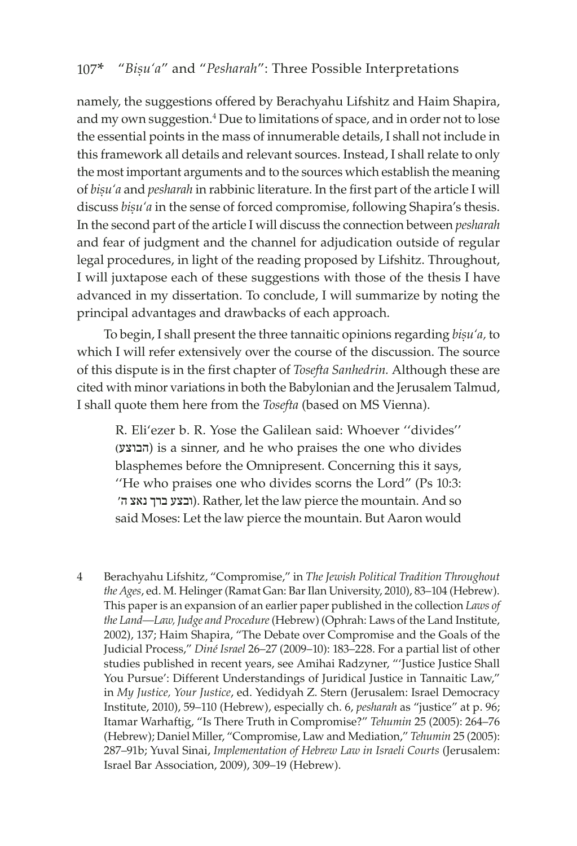namely, the suggestions offered by Berachyahu Lifshitz and Haim Shapira, and my own suggestion.<sup>4</sup> Due to limitations of space, and in order not to lose the essential points in the mass of innumerable details, I shall not include in this framework all details and relevant sources. Instead, I shall relate to only the most important arguments and to the sources which establish the meaning of *bisu'a* and *pesharah* in rabbinic literature. In the first part of the article I will discuss *bisu'a* in the sense of forced compromise, following Shapira's thesis. In the second part of the article I will discuss the connection between *pesharah* and fear of judgment and the channel for adjudication outside of regular legal procedures, in light of the reading proposed by Lifshitz. Throughout, I will juxtapose each of these suggestions with those of the thesis I have advanced in my dissertation. To conclude, I will summarize by noting the principal advantages and drawbacks of each approach.

To begin, I shall present the three tannaitic opinions regarding *bisu'a*, to which I will refer extensively over the course of the discussion. The source of this dispute is in the first chapter of *Tosefta Sanhedrin.* Although these are cited with minor variations in both the Babylonian and the Jerusalem Talmud, I shall quote them here from the *Tosefta* (based on MS Vienna).

R. Eli'ezer b. R. Yose the Galilean said: Whoever ''divides'' )הבוצע (is a sinner, and he who praises the one who divides blasphemes before the Omnipresent. Concerning this it says, ''He who praises one who divides scorns the Lord" (Ps 10:3: 'ה נאצ ברך ובצע(. Rather, let the law pierce the mountain. And so said Moses: Let the law pierce the mountain. But Aaron would

4 Berachyahu Lifshitz, "Compromise," in *The Jewish Political Tradition Throughout the Ages*, ed. M. Helinger (Ramat Gan: Bar Ilan University, 2010), 83–104 (Hebrew). This paper is an expansion of an earlier paper published in the collection *Laws of the Land—Law, Judge and Procedure* (Hebrew) (Ophrah: Laws of the Land Institute, 2002), 137; Haim Shapira, "The Debate over Compromise and the Goals of the Judicial Process," *Diné Israel* 26–27 (2009–10): 183–228. For a partial list of other studies published in recent years, see Amihai Radzyner, "'Justice Justice Shall You Pursue': Different Understandings of Juridical Justice in Tannaitic Law," in *My Justice, Your Justice*, ed. Yedidyah Z. Stern (Jerusalem: Israel Democracy Institute, 2010), 59–110 (Hebrew), especially ch. 6, *pesharah* as "justice" at p. 96; Itamar Warhaftig, "Is There Truth in Compromise?" *Tehumin* 25 (2005): 264–76 (Hebrew); Daniel Miller, "Compromise, Law and Mediation," *Tehumin* 25 (2005): 287–91b; Yuval Sinai, *Implementation of Hebrew Law in Israeli Courts* (Jerusalem: Israel Bar Association, 2009), 309–19 (Hebrew).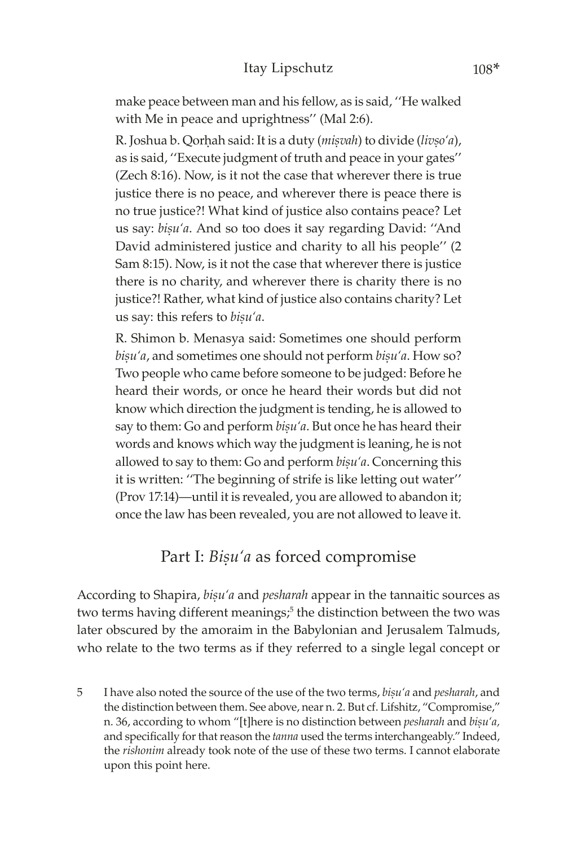make peace between man and his fellow, as is said, ''He walked with Me in peace and uprightness'' (Mal 2:6).

R. Joshua b. Qorhah said: It is a duty (*misvah*) to divide (*livso'a*), as is said, ''Execute judgment of truth and peace in your gates'' (Zech 8:16). Now, is it not the case that wherever there is true justice there is no peace, and wherever there is peace there is no true justice?! What kind of justice also contains peace? Let us say: *bișu'a*. And so too does it say regarding David: "And David administered justice and charity to all his people'' (2 Sam 8:15). Now, is it not the case that wherever there is justice there is no charity, and wherever there is charity there is no justice?! Rather, what kind of justice also contains charity? Let us say: this refers to *bisu'a*.

R. Shimon b. Menasya said: Sometimes one should perform bisu'a, and sometimes one should not perform *bisu'a*. How so? Two people who came before someone to be judged: Before he heard their words, or once he heard their words but did not know which direction the judgment is tending, he is allowed to say to them: Go and perform *bisu'a*. But once he has heard their words and knows which way the judgment is leaning, he is not allowed to say to them: Go and perform *bisu'a*. Concerning this it is written: ''The beginning of strife is like letting out water'' (Prov 17:14)—until it is revealed, you are allowed to abandon it; once the law has been revealed, you are not allowed to leave it.

# Part I: *Bișu'a* as forced compromise

According to Shapira, *bisu'a* and *pesharah* appear in the tannaitic sources as two terms having different meanings;<sup>5</sup> the distinction between the two was later obscured by the amoraim in the Babylonian and Jerusalem Talmuds, who relate to the two terms as if they referred to a single legal concept or

5 I have also noted the source of the use of the two terms, *biúu'a* and *pesharah*, and the distinction between them. See above, near n. 2. But cf. Lifshitz, "Compromise," n. 36, according to whom "[t]here is no distinction between *pesharah* and *bisu'a*, and specifically for that reason the *tanna* used the terms interchangeably." Indeed, the *rishonim* already took note of the use of these two terms. I cannot elaborate upon this point here.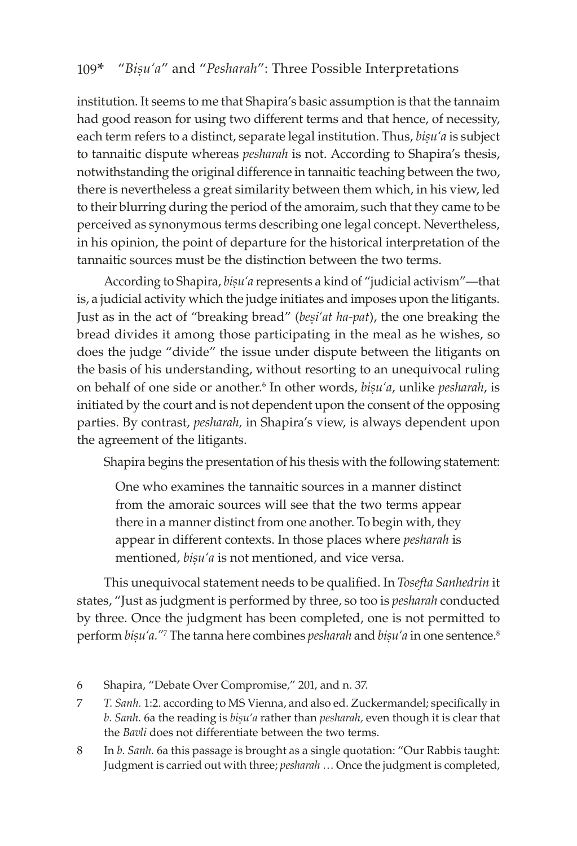institution. It seems to me that Shapira's basic assumption is that the tannaim had good reason for using two different terms and that hence, of necessity, each term refers to a distinct, separate legal institution. Thus, *bisu'a* is subject to tannaitic dispute whereas *pesharah* is not. According to Shapira's thesis, notwithstanding the original difference in tannaitic teaching between the two, there is nevertheless a great similarity between them which, in his view, led to their blurring during the period of the amoraim, such that they came to be perceived as synonymous terms describing one legal concept. Nevertheless, in his opinion, the point of departure for the historical interpretation of the tannaitic sources must be the distinction between the two terms.

According to Shapira, *bisu'a* represents a kind of "judicial activism"—that is, a judicial activity which the judge initiates and imposes upon the litigants. Just as in the act of "breaking bread" (*besi'at ha-pat*), the one breaking the bread divides it among those participating in the meal as he wishes, so does the judge "divide" the issue under dispute between the litigants on the basis of his understanding, without resorting to an unequivocal ruling on behalf of one side or another.<sup>6</sup> In other words, *bisu'a*, unlike *pesharah*, is initiated by the court and is not dependent upon the consent of the opposing parties. By contrast, *pesharah,* in Shapira's view, is always dependent upon the agreement of the litigants.

Shapira begins the presentation of his thesis with the following statement:

One who examines the tannaitic sources in a manner distinct from the amoraic sources will see that the two terms appear there in a manner distinct from one another. To begin with, they appear in different contexts. In those places where *pesharah* is mentioned, *bisu'a* is not mentioned, and vice versa.

This unequivocal statement needs to be qualified. In *Tosefta Sanhedrin* it states, "Just as judgment is performed by three, so too is *pesharah* conducted by three. Once the judgment has been completed, one is not permitted to perform *bișu'a."* The tanna here combines *pesharah* and *bișu'a* in one sentence.<sup>8</sup>

<sup>6</sup> Shapira, "Debate Over Compromise," 201, and n. 37.

<sup>7</sup> *T. Sanh.* 1:2. according to MS Vienna, and also ed. Zuckermandel; specifically in *b. Sanh.* 6a the reading is *bisu'a* rather than *pesharah*, even though it is clear that the *Bavli* does not differentiate between the two terms.

<sup>8</sup> In *b. Sanh.* 6a this passage is brought as a single quotation: "Our Rabbis taught: Judgment is carried out with three; *pesharah* … Once the judgment is completed,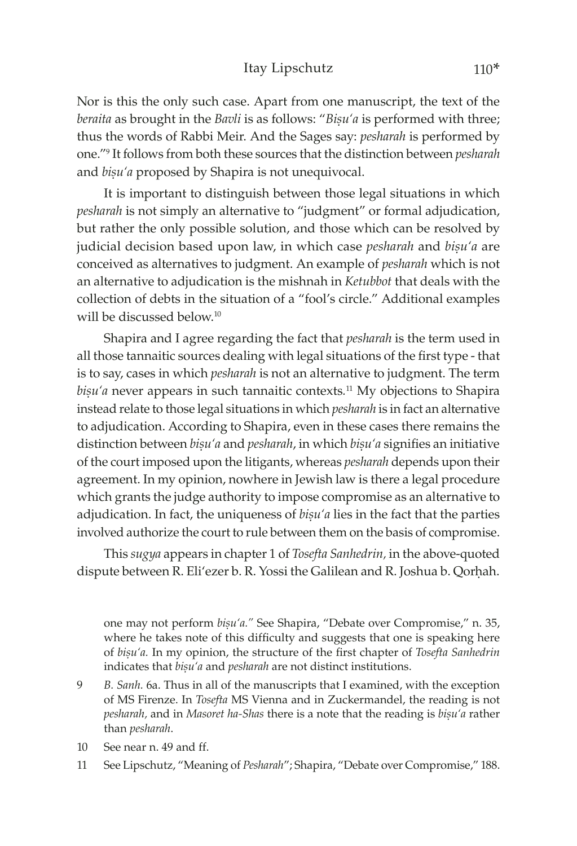#### Itay Lipschutz 110\*

Nor is this the only such case. Apart from one manuscript, the text of the *beraita* as brought in the *Bavli* is as follows: "*Bisu'a* is performed with three; thus the words of Rabbi Meir. And the Sages say: *pesharah* is performed by one."<sup>9</sup> It follows from both these sources that the distinction between *pesharah* and *bisu'a* proposed by Shapira is not unequivocal.

It is important to distinguish between those legal situations in which *pesharah* is not simply an alternative to "judgment" or formal adjudication, but rather the only possible solution, and those which can be resolved by judicial decision based upon law, in which case *pesharah* and *bisu'a* are conceived as alternatives to judgment. An example of *pesharah* which is not an alternative to adjudication is the mishnah in *Ketubbot* that deals with the collection of debts in the situation of a "fool's circle." Additional examples will be discussed below.<sup>10</sup>

Shapira and I agree regarding the fact that *pesharah* is the term used in all those tannaitic sources dealing with legal situations of the first type - that is to say, cases in which *pesharah* is not an alternative to judgment. The term *bișu'a* never appears in such tannaitic contexts.<sup>11</sup> My objections to Shapira instead relate to those legal situations in which *pesharah* is in fact an alternative to adjudication. According to Shapira, even in these cases there remains the distinction between *bișu'a* and *pesharah*, in which *bișu'a* signifies an initiative of the court imposed upon the litigants, whereas *pesharah* depends upon their agreement. In my opinion, nowhere in Jewish law is there a legal procedure which grants the judge authority to impose compromise as an alternative to adjudication. In fact, the uniqueness of *bisu'a* lies in the fact that the parties involved authorize the court to rule between them on the basis of compromise.

This *sugya* appears in chapter 1 of *Tosefta Sanhedrin,* in the above-quoted dispute between R. Eli'ezer b. R. Yossi the Galilean and R. Joshua b. Qorhah.

one may not perform *bișu'a.*" See Shapira, "Debate over Compromise," n. 35, where he takes note of this difficulty and suggests that one is speaking here of *biúu'a.* In my opinion, the structure of the first chapter of *Tosefta Sanhedrin*  indicates that *bisu'a* and *pesharah* are not distinct institutions.

- 9 *B. Sanh.* 6a. Thus in all of the manuscripts that I examined, with the exception of MS Firenze. In *Tosefta* MS Vienna and in Zuckermandel, the reading is not *pesharah,* and in *Masoret ha-Shas* there is a note that the reading is *bisu'a* rather than *pesharah*.
- 10 See near n. 49 and ff.
- 11 See Lipschutz, "Meaning of *Pesharah*"; Shapira, "Debate over Compromise," 188.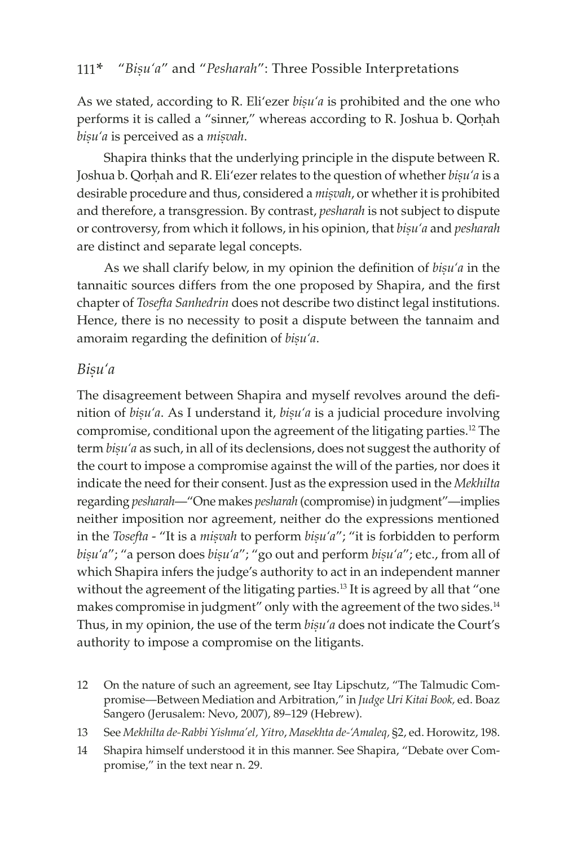As we stated, according to R. Eli'ezer *bisu'a* is prohibited and the one who performs it is called a "sinner," whereas according to R. Joshua b. Qorhah bisu'a is perceived as a *misvah*.

Shapira thinks that the underlying principle in the dispute between R. Joshua b. Qorhah and R. Eli'ezer relates to the question of whether *bisu'a* is a desirable procedure and thus, considered a *misvah*, or whether it is prohibited and therefore, a transgression. By contrast, *pesharah* is not subject to dispute or controversy, from which it follows, in his opinion, that *bisu'a* and *pesharah* are distinct and separate legal concepts.

As we shall clarify below, in my opinion the definition of *bisu'a* in the tannaitic sources differs from the one proposed by Shapira, and the first chapter of *Tosefta Sanhedrin* does not describe two distinct legal institutions. Hence, there is no necessity to posit a dispute between the tannaim and amoraim regarding the definition of *bisu'a*.

### *Biúu'a*

The disagreement between Shapira and myself revolves around the definition of *bisu'a*. As I understand it, *bisu'a* is a judicial procedure involving compromise, conditional upon the agreement of the litigating parties.12 The term *bisu'a* as such, in all of its declensions, does not suggest the authority of the court to impose a compromise against the will of the parties, nor does it indicate the need for their consent. Just as the expression used in the *Mekhilta* regarding *pesharah*—"One makes *pesharah* (compromise) in judgment"—implies neither imposition nor agreement, neither do the expressions mentioned in the *Tosefta* - "It is a *misvah* to perform *bisu'a*"; "it is forbidden to perform *bisu'a"*; "a person does *bisu'a"*; "go out and perform *bisu'a"*; etc., from all of which Shapira infers the judge's authority to act in an independent manner without the agreement of the litigating parties.<sup>13</sup> It is agreed by all that "one makes compromise in judgment" only with the agreement of the two sides.<sup>14</sup> Thus, in my opinion, the use of the term *bisu'a* does not indicate the Court's authority to impose a compromise on the litigants.

- 12 On the nature of such an agreement, see Itay Lipschutz, "The Talmudic Compromise—Between Mediation and Arbitration," in *Judge Uri Kitai Book,* ed. Boaz Sangero (Jerusalem: Nevo, 2007), 89–129 (Hebrew).
- 13 See *Mekhilta de-Rabbi Yishma'el, Yitro*, *Masekhta de-'Amaleq,* §2, ed. Horowitz, 198.
- 14 Shapira himself understood it in this manner. See Shapira, "Debate over Compromise," in the text near n. 29.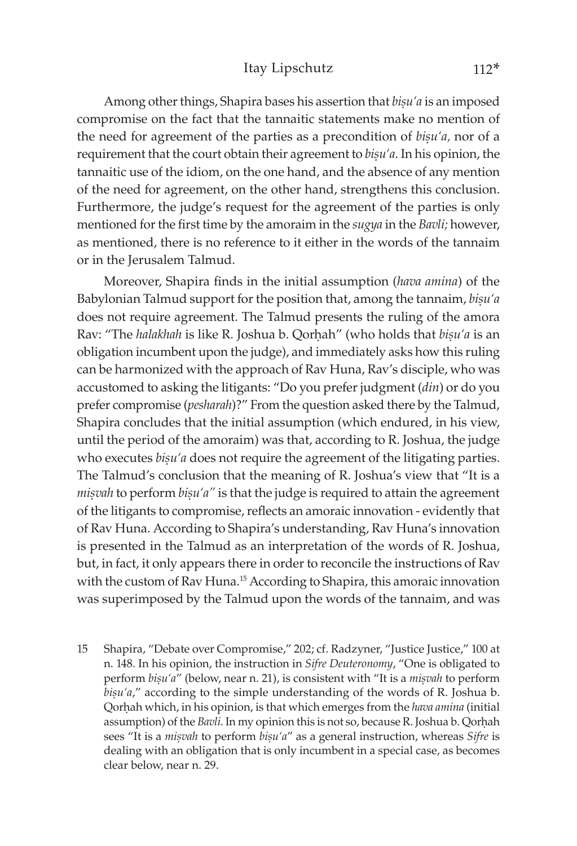Among other things, Shapira bases his assertion that *bisu'a* is an imposed compromise on the fact that the tannaitic statements make no mention of the need for agreement of the parties as a precondition of *bisu'a*, nor of a requirement that the court obtain their agreement to *bisu'a*. In his opinion, the tannaitic use of the idiom, on the one hand, and the absence of any mention of the need for agreement, on the other hand, strengthens this conclusion. Furthermore, the judge's request for the agreement of the parties is only mentioned for the first time by the amoraim in the *sugya* in the *Bavli;* however, as mentioned, there is no reference to it either in the words of the tannaim or in the Jerusalem Talmud.

Moreover, Shapira finds in the initial assumption (*hava amina*) of the Babylonian Talmud support for the position that, among the tannaim, *bisu'a* does not require agreement. The Talmud presents the ruling of the amora Rav: "The *halakhah* is like R. Joshua b. Qorhah" (who holds that *biṣu'a* is an obligation incumbent upon the judge), and immediately asks how this ruling can be harmonized with the approach of Rav Huna, Rav's disciple, who was accustomed to asking the litigants: "Do you prefer judgment (*din*) or do you prefer compromise (*pesharah*)?" From the question asked there by the Talmud, Shapira concludes that the initial assumption (which endured, in his view, until the period of the amoraim) was that, according to R. Joshua, the judge who executes *bisu'a* does not require the agreement of the litigating parties. The Talmud's conclusion that the meaning of R. Joshua's view that "It is a *misvah* to perform *bisu'a"* is that the judge is required to attain the agreement of the litigants to compromise, reflects an amoraic innovation - evidently that of Rav Huna. According to Shapira's understanding, Rav Huna's innovation is presented in the Talmud as an interpretation of the words of R. Joshua, but, in fact, it only appears there in order to reconcile the instructions of Rav with the custom of Rav Huna.<sup>15</sup> According to Shapira, this amoraic innovation was superimposed by the Talmud upon the words of the tannaim, and was

15 Shapira, "Debate over Compromise," 202; cf. Radzyner, "Justice Justice," 100 at n. 148. In his opinion, the instruction in *Sifre Deuteronomy*, "One is obligated to perform *bisu'a"* (below, near n. 21), is consistent with "It is a *misvah* to perform bisu'a," according to the simple understanding of the words of R. Joshua b. Qorhah which, in his opinion, is that which emerges from the *hava amina* (initial assumption) of the *Bavli*. In my opinion this is not so, because R. Joshua b. Qorḥah sees "It is a *mișvah* to perform *bișu'a"* as a general instruction, whereas *Sifre* is dealing with an obligation that is only incumbent in a special case, as becomes clear below, near n. 29.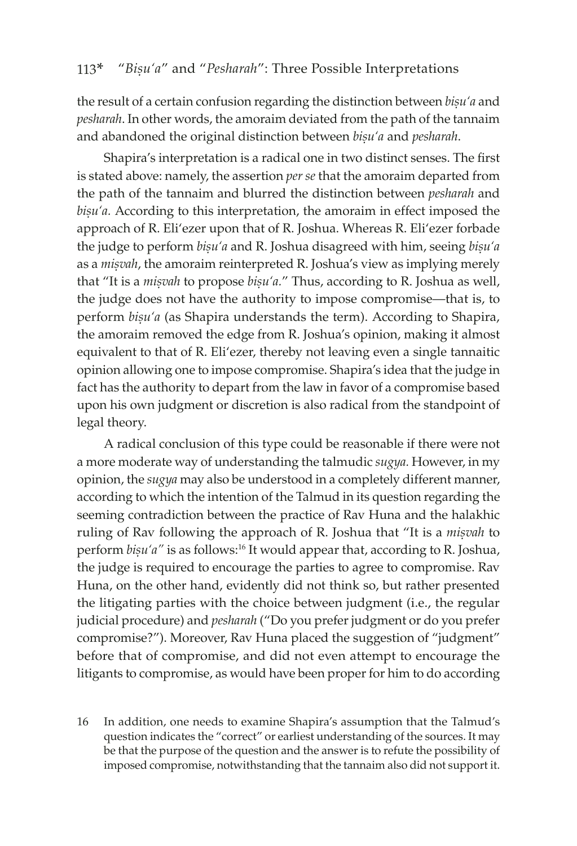the result of a certain confusion regarding the distinction between *bisu'a* and *pesharah*. In other words, the amoraim deviated from the path of the tannaim and abandoned the original distinction between *bisu'a* and *pesharah*.

Shapira's interpretation is a radical one in two distinct senses. The first is stated above: namely, the assertion *per se* that the amoraim departed from the path of the tannaim and blurred the distinction between *pesharah* and bisu'a. According to this interpretation, the amoraim in effect imposed the approach of R. Eli'ezer upon that of R. Joshua. Whereas R. Eli'ezer forbade the judge to perform *bisu'a* and R. Joshua disagreed with him, seeing *bisu'a* as a *misvah*, the amoraim reinterpreted R. Joshua's view as implying merely that "It is a *misvah* to propose *bisu'a.*" Thus, according to R. Joshua as well, the judge does not have the authority to impose compromise—that is, to perform *bisu'a* (as Shapira understands the term). According to Shapira, the amoraim removed the edge from R. Joshua's opinion, making it almost equivalent to that of R. Eli'ezer, thereby not leaving even a single tannaitic opinion allowing one to impose compromise. Shapira's idea that the judge in fact has the authority to depart from the law in favor of a compromise based upon his own judgment or discretion is also radical from the standpoint of legal theory.

A radical conclusion of this type could be reasonable if there were not a more moderate way of understanding the talmudic *sugya.* However, in my opinion, the *sugya* may also be understood in a completely different manner, according to which the intention of the Talmud in its question regarding the seeming contradiction between the practice of Rav Huna and the halakhic ruling of Rav following the approach of R. Joshua that "It is a *misvah* to perform *bisu'a"* is as follows:<sup>16</sup> It would appear that, according to R. Joshua, the judge is required to encourage the parties to agree to compromise. Rav Huna, on the other hand, evidently did not think so, but rather presented the litigating parties with the choice between judgment (i.e., the regular judicial procedure) and *pesharah* ("Do you prefer judgment or do you prefer compromise?"). Moreover, Rav Huna placed the suggestion of "judgment" before that of compromise, and did not even attempt to encourage the litigants to compromise, as would have been proper for him to do according

16 In addition, one needs to examine Shapira's assumption that the Talmud's question indicates the "correct" or earliest understanding of the sources. It may be that the purpose of the question and the answer is to refute the possibility of imposed compromise, notwithstanding that the tannaim also did not support it.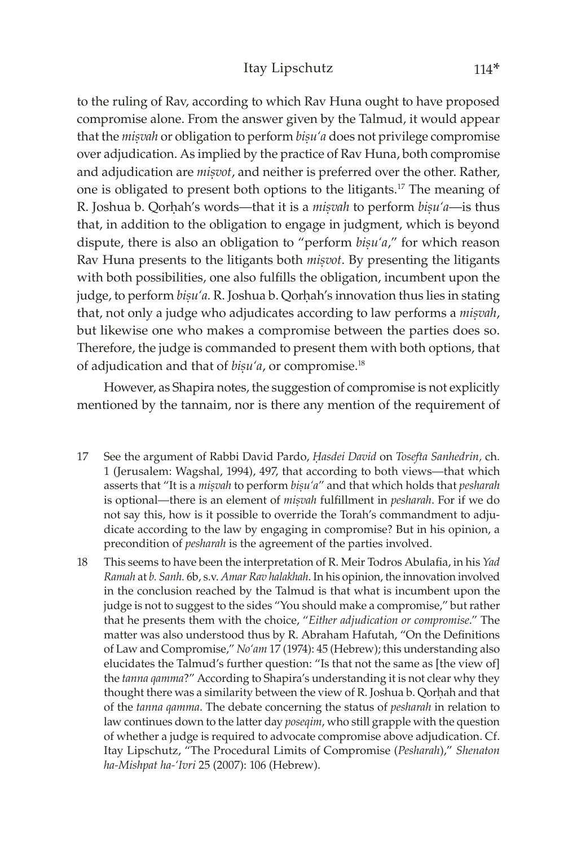to the ruling of Rav, according to which Rav Huna ought to have proposed compromise alone. From the answer given by the Talmud, it would appear that the *misvah* or obligation to perform *bisu'a* does not privilege compromise over adjudication. As implied by the practice of Rav Huna, both compromise and adjudication are *misvot*, and neither is preferred over the other. Rather, one is obligated to present both options to the litigants.17 The meaning of R. Joshua b. Qorhah's words—that it is a *miṣvah* to perform *bisu'a*—is thus that, in addition to the obligation to engage in judgment, which is beyond dispute, there is also an obligation to "perform *bisu'a*," for which reason Rav Huna presents to the litigants both *misvot*. By presenting the litigants with both possibilities, one also fulfills the obligation, incumbent upon the judge, to perform *bisu'a*. R. Joshua b. Qorhah's innovation thus lies in stating that, not only a judge who adjudicates according to law performs a *misvah*, but likewise one who makes a compromise between the parties does so. Therefore, the judge is commanded to present them with both options, that of adjudication and that of *bisu'a*, or compromise.<sup>18</sup>

However, as Shapira notes, the suggestion of compromise is not explicitly mentioned by the tannaim, nor is there any mention of the requirement of

- 17 See the argument of Rabbi David Pardo, *Êasdei David* on *Tosefta Sanhedrin,* ch. 1 (Jerusalem: Wagshal, 1994), 497, that according to both views—that which asserts that "It is a *misvah* to perform *bisu'a*" and that which holds that *pesharah* is optional—there is an element of *misvah* fulfillment in *pesharah*. For if we do not say this, how is it possible to override the Torah's commandment to adjudicate according to the law by engaging in compromise? But in his opinion, a precondition of *pesharah* is the agreement of the parties involved.
- 18 This seems to have been the interpretation of R. Meir Todros Abulafia, in his *Yad Ramah* at *b. Sanh.* 6b, s.v. *Amar Rav halakhah*. In his opinion, the innovation involved in the conclusion reached by the Talmud is that what is incumbent upon the judge is not to suggest to the sides "You should make a compromise," but rather that he presents them with the choice, "*Either adjudication or compromise*." The matter was also understood thus by R. Abraham Hafutah, "On the Definitions of Law and Compromise," *No'am* 17 (1974): 45 (Hebrew); this understanding also elucidates the Talmud's further question: "Is that not the same as [the view of] the *tanna qamma*?" According to Shapira's understanding it is not clear why they thought there was a similarity between the view of R. Joshua b. Qorhah and that of the *tanna qamma*. The debate concerning the status of *pesharah* in relation to law continues down to the latter day *poseqim*, who still grapple with the question of whether a judge is required to advocate compromise above adjudication. Cf. Itay Lipschutz, "The Procedural Limits of Compromise (*Pesharah*)," *Shenaton ha-Mishpat ha-'Ivri* 25 (2007): 106 (Hebrew).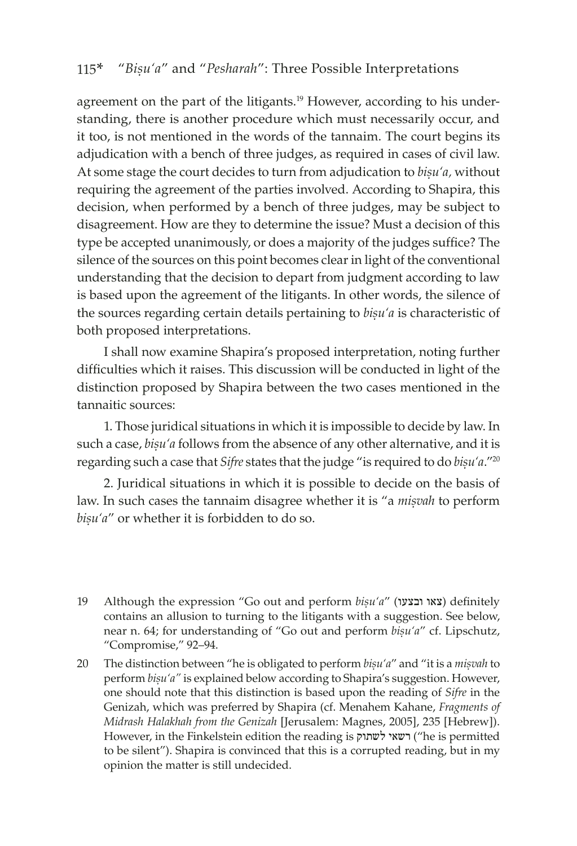agreement on the part of the litigants.<sup>19</sup> However, according to his understanding, there is another procedure which must necessarily occur, and it too, is not mentioned in the words of the tannaim. The court begins its adjudication with a bench of three judges, as required in cases of civil law. At some stage the court decides to turn from adjudication to *bisu'a*, without requiring the agreement of the parties involved. According to Shapira, this decision, when performed by a bench of three judges, may be subject to disagreement. How are they to determine the issue? Must a decision of this type be accepted unanimously, or does a majority of the judges suffice? The silence of the sources on this point becomes clear in light of the conventional understanding that the decision to depart from judgment according to law is based upon the agreement of the litigants. In other words, the silence of the sources regarding certain details pertaining to *bisu'a* is characteristic of both proposed interpretations.

I shall now examine Shapira's proposed interpretation, noting further difficulties which it raises. This discussion will be conducted in light of the distinction proposed by Shapira between the two cases mentioned in the tannaitic sources:

1. Those juridical situations in which it is impossible to decide by law. In such a case, *bisu'a* follows from the absence of any other alternative, and it is regarding such a case that *Sifre* states that the judge "is required to do *bisu'a*."<sup>20</sup>

2. Juridical situations in which it is possible to decide on the basis of law. In such cases the tannaim disagree whether it is "a *misvah* to perform bisu'a" or whether it is forbidden to do so.

<sup>19</sup> Although the expression "Go out and perform *biṣu'a*" (צאו ובצעו) definitely contains an allusion to turning to the litigants with a suggestion. See below, near n. 64; for understanding of "Go out and perform *bisu'a"* cf. Lipschutz, "Compromise," 92–94.

<sup>20</sup> The distinction between "he is obligated to perform *bisu'a"* and "it is a *misvah* to perform *bisu'a"* is explained below according to Shapira's suggestion. However, one should note that this distinction is based upon the reading of *Sifre* in the Genizah, which was preferred by Shapira (cf. Menahem Kahane, *Fragments of Midrash Halakhah from the Genizah* [Jerusalem: Magnes, 2005], 235 [Hebrew]). However, in the Finkelstein edition the reading is רשאי לשתוק) ("he is permitted to be silent"). Shapira is convinced that this is a corrupted reading, but in my opinion the matter is still undecided.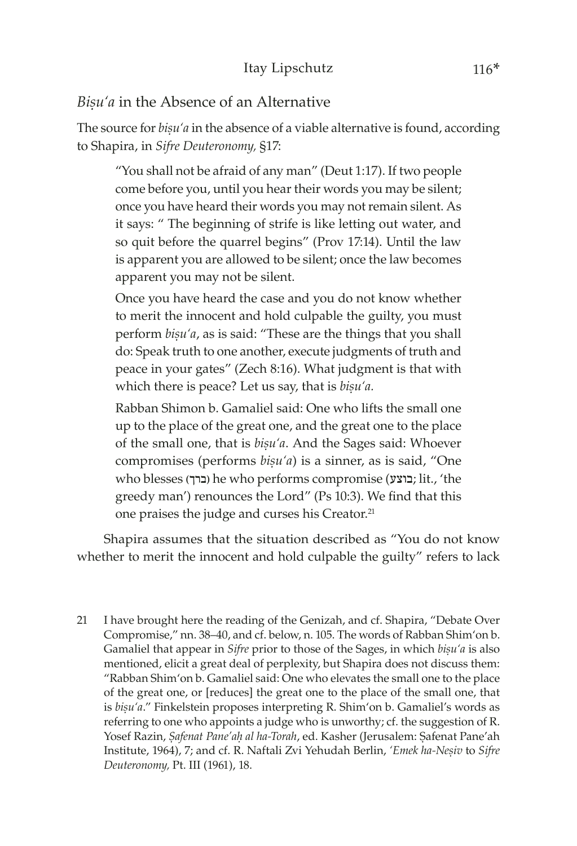### Bisu'a in the Absence of an Alternative

The source for *bisu'a* in the absence of a viable alternative is found, according to Shapira, in *Sifre Deuteronomy,* §17:

"You shall not be afraid of any man" (Deut 1:17). If two people come before you, until you hear their words you may be silent; once you have heard their words you may not remain silent. As it says: " The beginning of strife is like letting out water, and so quit before the quarrel begins" (Prov 17:14). Until the law is apparent you are allowed to be silent; once the law becomes apparent you may not be silent.

Once you have heard the case and you do not know whether to merit the innocent and hold culpable the guilty, you must perform *bisu'a*, as is said: "These are the things that you shall do: Speak truth to one another, execute judgments of truth and peace in your gates" (Zech 8:16). What judgment is that with which there is peace? Let us say, that is *bisu'a*.

Rabban Shimon b. Gamaliel said: One who lifts the small one up to the place of the great one, and the great one to the place of the small one, that is *bisu'a*. And the Sages said: Whoever compromises (performs *bisu'a*) is a sinner, as is said, "One who blesses (ברך) he who performs compromise (בוצע; lit., 'the greedy man') renounces the Lord" (Ps 10:3). We find that this one praises the judge and curses his Creator.<sup>21</sup>

Shapira assumes that the situation described as "You do not know whether to merit the innocent and hold culpable the guilty" refers to lack

21 I have brought here the reading of the Genizah, and cf. Shapira, "Debate Over Compromise," nn. 38–40, and cf. below, n. 105. The words of Rabban Shim'on b. Gamaliel that appear in *Sifre* prior to those of the Sages, in which *bisu'a* is also mentioned, elicit a great deal of perplexity, but Shapira does not discuss them: "Rabban Shim'on b. Gamaliel said: One who elevates the small one to the place of the great one, or [reduces] the great one to the place of the small one, that is *bisu'a*." Finkelstein proposes interpreting R. Shim'on b. Gamaliel's words as referring to one who appoints a judge who is unworthy; cf. the suggestion of R. Yosef Razin, Safenat Pane'ah al ha-Torah, ed. Kasher (Jerusalem: Safenat Pane'ah Institute, 1964), 7; and cf. R. Naftali Zvi Yehudah Berlin, 'Emek ha-Nesiv to Sifre *Deuteronomy,* Pt. III (1961), 18.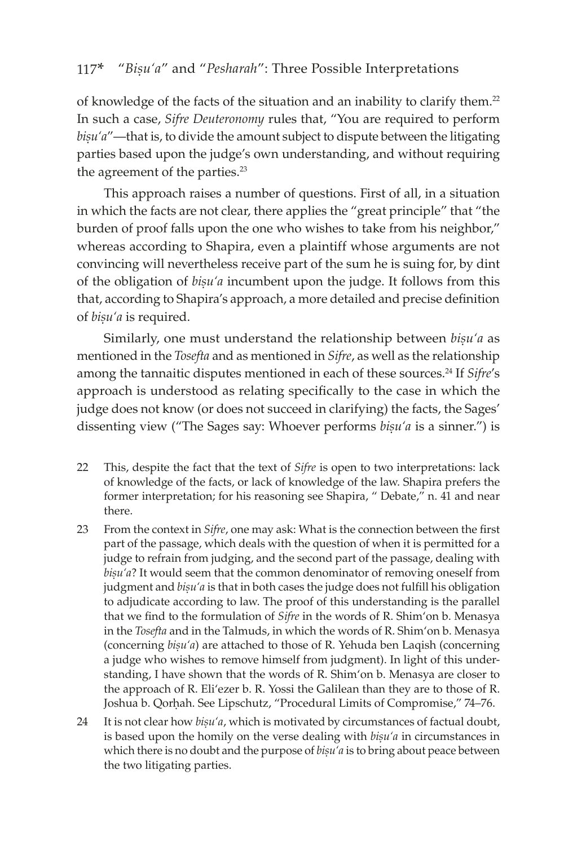of knowledge of the facts of the situation and an inability to clarify them.<sup>22</sup> In such a case, *Sifre Deuteronomy* rules that, "You are required to perform bisu'a"—that is, to divide the amount subject to dispute between the litigating parties based upon the judge's own understanding, and without requiring the agreement of the parties.<sup>23</sup>

This approach raises a number of questions. First of all, in a situation in which the facts are not clear, there applies the "great principle" that "the burden of proof falls upon the one who wishes to take from his neighbor," whereas according to Shapira, even a plaintiff whose arguments are not convincing will nevertheless receive part of the sum he is suing for, by dint of the obligation of *bisu'a* incumbent upon the judge. It follows from this that, according to Shapira's approach, a more detailed and precise definition of *bisu'a* is required.

Similarly, one must understand the relationship between *bisu'a* as mentioned in the *Tosefta* and as mentioned in *Sifre*, as well as the relationship among the tannaitic disputes mentioned in each of these sources.<sup>24</sup> If *Sifre's* approach is understood as relating specifically to the case in which the judge does not know (or does not succeed in clarifying) the facts, the Sages' dissenting view ("The Sages say: Whoever performs *bisu'a* is a sinner.") is

- 22 This, despite the fact that the text of *Sifre* is open to two interpretations: lack of knowledge of the facts, or lack of knowledge of the law. Shapira prefers the former interpretation; for his reasoning see Shapira, " Debate," n. 41 and near there.
- 23 From the context in *Sifre*, one may ask: What is the connection between the first part of the passage, which deals with the question of when it is permitted for a judge to refrain from judging, and the second part of the passage, dealing with bișu'a? It would seem that the common denominator of removing oneself from judgment and *bișu'a* is that in both cases the judge does not fulfill his obligation to adjudicate according to law. The proof of this understanding is the parallel that we find to the formulation of *Sifre* in the words of R. Shim'on b. Menasya in the *Tosefta* and in the Talmuds, in which the words of R. Shim'on b. Menasya (concerning *bisu'a*) are attached to those of R. Yehuda ben Laqish (concerning a judge who wishes to remove himself from judgment). In light of this understanding, I have shown that the words of R. Shim'on b. Menasya are closer to the approach of R. Eli'ezer b. R. Yossi the Galilean than they are to those of R. Joshua b. Qorhah. See Lipschutz, "Procedural Limits of Compromise," 74-76.
- 24 It is not clear how *bișu'a*, which is motivated by circumstances of factual doubt, is based upon the homily on the verse dealing with *bisu'a* in circumstances in which there is no doubt and the purpose of *bisu'a* is to bring about peace between the two litigating parties.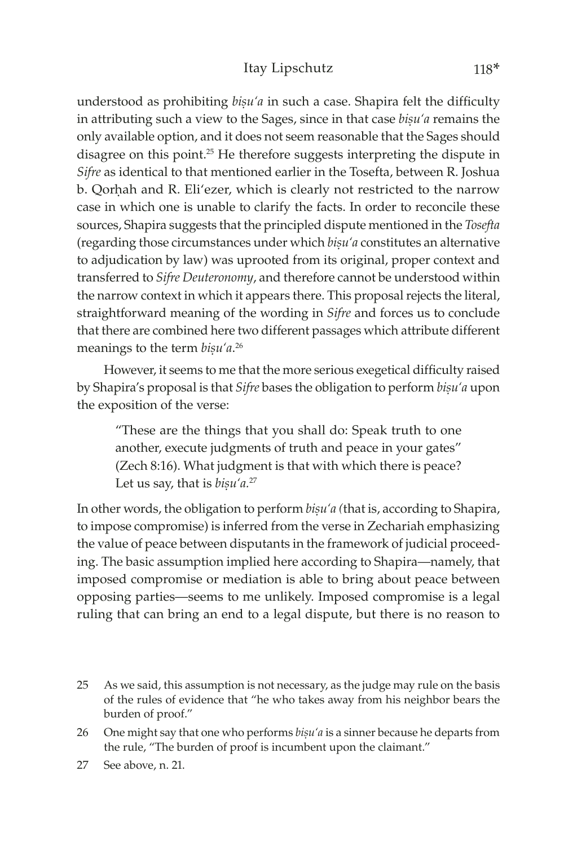#### Itay Lipschutz 118\*

understood as prohibiting *bisu'a* in such a case. Shapira felt the difficulty in attributing such a view to the Sages, since in that case *bisu'a* remains the only available option, and it does not seem reasonable that the Sages should disagree on this point.25 He therefore suggests interpreting the dispute in *Sifre* as identical to that mentioned earlier in the Tosefta, between R. Joshua b. Qorhah and R. Eli'ezer, which is clearly not restricted to the narrow case in which one is unable to clarify the facts. In order to reconcile these sources, Shapira suggests that the principled dispute mentioned in the *Tosefta*  (regarding those circumstances under which *bisu'a* constitutes an alternative to adjudication by law) was uprooted from its original, proper context and transferred to *Sifre Deuteronomy*, and therefore cannot be understood within the narrow context in which it appears there. This proposal rejects the literal, straightforward meaning of the wording in *Sifre* and forces us to conclude that there are combined here two different passages which attribute different meanings to the term *bișu'a*.<sup>26</sup>

However, it seems to me that the more serious exegetical difficulty raised by Shapira's proposal is that *Sifre* bases the obligation to perform *bisu'a* upon the exposition of the verse:

"These are the things that you shall do: Speak truth to one another, execute judgments of truth and peace in your gates" (Zech 8:16). What judgment is that with which there is peace? Let us say, that is *bisu'a*.<sup>27</sup>

In other words, the obligation to perform *bisu'a* (that is, according to Shapira, to impose compromise) is inferred from the verse in Zechariah emphasizing the value of peace between disputants in the framework of judicial proceeding. The basic assumption implied here according to Shapira—namely, that imposed compromise or mediation is able to bring about peace between opposing parties—seems to me unlikely. Imposed compromise is a legal ruling that can bring an end to a legal dispute, but there is no reason to

- 25 As we said, this assumption is not necessary, as the judge may rule on the basis of the rules of evidence that "he who takes away from his neighbor bears the burden of proof."
- 26 One might say that one who performs *bisu'a* is a sinner because he departs from the rule, "The burden of proof is incumbent upon the claimant."

<sup>27</sup> See above, n. 21.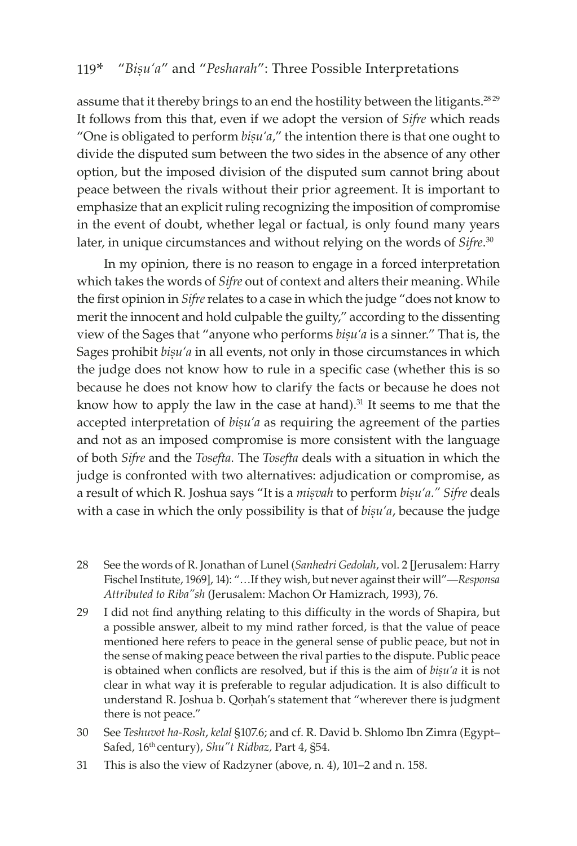assume that it thereby brings to an end the hostility between the litigants.<sup>28 29</sup> It follows from this that, even if we adopt the version of *Sifre* which reads "One is obligated to perform  $bisu'a''$ , the intention there is that one ought to divide the disputed sum between the two sides in the absence of any other option, but the imposed division of the disputed sum cannot bring about peace between the rivals without their prior agreement. It is important to emphasize that an explicit ruling recognizing the imposition of compromise in the event of doubt, whether legal or factual, is only found many years later, in unique circumstances and without relying on the words of *Sifre*. 30

In my opinion, there is no reason to engage in a forced interpretation which takes the words of *Sifre* out of context and alters their meaning. While the first opinion in *Sifre* relates to a case in which the judge "does not know to merit the innocent and hold culpable the guilty," according to the dissenting view of the Sages that "anyone who performs *bisu'a* is a sinner." That is, the Sages prohibit  $b_i$ <sup>a</sup> in all events, not only in those circumstances in which the judge does not know how to rule in a specific case (whether this is so because he does not know how to clarify the facts or because he does not know how to apply the law in the case at hand).<sup>31</sup> It seems to me that the accepted interpretation of *bisu'a* as requiring the agreement of the parties and not as an imposed compromise is more consistent with the language of both *Sifre* and the *Tosefta.* The *Tosefta* deals with a situation in which the judge is confronted with two alternatives: adjudication or compromise, as a result of which R. Joshua says "It is a *misvah* to perform *bisu'a." Sifre* deals with a case in which the only possibility is that of *bisu'a*, because the judge

- 28 See the words of R. Jonathan of Lunel (*Sanhedri Gedolah*, vol. 2 [Jerusalem: Harry Fischel Institute, 1969], 14): "…If they wish, but never against their will"—*Responsa Attributed to Riba"sh* (Jerusalem: Machon Or Hamizrach, 1993), 76.
- 29 I did not find anything relating to this difficulty in the words of Shapira, but a possible answer, albeit to my mind rather forced, is that the value of peace mentioned here refers to peace in the general sense of public peace, but not in the sense of making peace between the rival parties to the dispute. Public peace is obtained when conflicts are resolved, but if this is the aim of *bisu'a* it is not clear in what way it is preferable to regular adjudication. It is also difficult to understand R. Joshua b. Qorhah's statement that "wherever there is judgment there is not peace."
- 30 See *Teshuvot ha-Rosh*, *kelal* §107.6; and cf. R. David b. Shlomo Ibn Zimra (Egypt– Safed, 16th century), *Shu"t Ridbaz,* Part 4, §54.
- 31 This is also the view of Radzyner (above, n. 4), 101–2 and n. 158.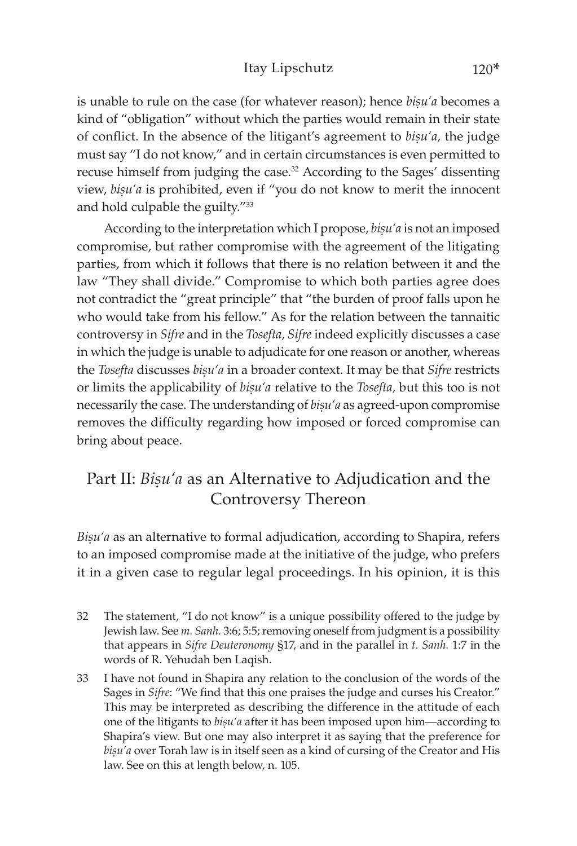### Itay Lipschutz 120\*

is unable to rule on the case (for whatever reason); hence *bisu'a* becomes a kind of "obligation" without which the parties would remain in their state of conflict. In the absence of the litigant's agreement to *bisu'a*, the judge must say "I do not know," and in certain circumstances is even permitted to recuse himself from judging the case.32 According to the Sages' dissenting view, *bisu'a* is prohibited, even if "you do not know to merit the innocent and hold culpable the guilty."<sup>33</sup>

According to the interpretation which I propose, *bisu'a* is not an imposed compromise, but rather compromise with the agreement of the litigating parties, from which it follows that there is no relation between it and the law "They shall divide." Compromise to which both parties agree does not contradict the "great principle" that "the burden of proof falls upon he who would take from his fellow." As for the relation between the tannaitic controversy in *Sifre* and in the *Tosefta, Sifre* indeed explicitly discusses a case in which the judge is unable to adjudicate for one reason or another, whereas the *Tosefta* discusses *bisu'a* in a broader context. It may be that *Sifre* restricts or limits the applicability of *biúu'a* relative to the *Tosefta,* but this too is not necessarily the case. The understanding of *bisu'a* as agreed-upon compromise removes the difficulty regarding how imposed or forced compromise can bring about peace.

# Part II: *Bisu'a* as an Alternative to Adjudication and the Controversy Thereon

Bisu'a as an alternative to formal adjudication, according to Shapira, refers to an imposed compromise made at the initiative of the judge, who prefers it in a given case to regular legal proceedings. In his opinion, it is this

- 32 The statement, "I do not know" is a unique possibility offered to the judge by Jewish law. See *m. Sanh.* 3:6; 5:5; removing oneself from judgment is a possibility that appears in *Sifre Deuteronomy* §17, and in the parallel in *t. Sanh.* 1:7 in the words of R. Yehudah ben Laqish.
- 33 I have not found in Shapira any relation to the conclusion of the words of the Sages in *Sifre*: "We find that this one praises the judge and curses his Creator." This may be interpreted as describing the difference in the attitude of each one of the litigants to *bisu'a* after it has been imposed upon him—according to Shapira's view. But one may also interpret it as saying that the preference for bisu'a over Torah law is in itself seen as a kind of cursing of the Creator and His law. See on this at length below, n. 105.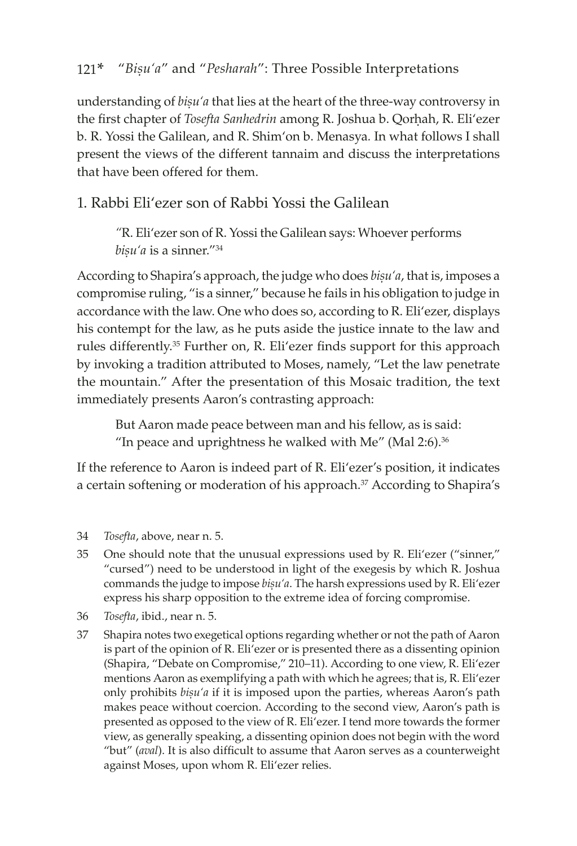understanding of *bisu'a* that lies at the heart of the three-way controversy in the first chapter of *Tosefta Sanhedrin* among R. Joshua b. Qorhah, R. Eli'ezer b. R. Yossi the Galilean, and R. Shim'on b. Menasya*.* In what follows I shall present the views of the different tannaim and discuss the interpretations that have been offered for them.

## 1. Rabbi Eli'ezer son of Rabbi Yossi the Galilean

*"*R. Eli'ezer son of R. Yossi the Galilean says: Whoever performs bișu'a is a sinner."<sup>34</sup>

According to Shapira's approach, the judge who does *bisu'a*, that is, imposes a compromise ruling, "is a sinner," because he fails in his obligation to judge in accordance with the law. One who does so, according to R. Eli'ezer, displays his contempt for the law, as he puts aside the justice innate to the law and rules differently.<sup>35</sup> Further on, R. Eli'ezer finds support for this approach by invoking a tradition attributed to Moses, namely, "Let the law penetrate the mountain." After the presentation of this Mosaic tradition, the text immediately presents Aaron's contrasting approach:

But Aaron made peace between man and his fellow, as is said: "In peace and uprightness he walked with Me" (Mal 2:6). $36$ 

If the reference to Aaron is indeed part of R. Eli'ezer's position, it indicates a certain softening or moderation of his approach.<sup>37</sup> According to Shapira's

- 34 *Tosefta*, above, near n. 5.
- 35 One should note that the unusual expressions used by R. Eli'ezer ("sinner," "cursed") need to be understood in light of the exegesis by which R. Joshua commands the judge to impose *bisu'a*. The harsh expressions used by R. Eli'ezer express his sharp opposition to the extreme idea of forcing compromise.
- 36 *Tosefta*, ibid., near n. 5.
- 37 Shapira notes two exegetical options regarding whether or not the path of Aaron is part of the opinion of R. Eli'ezer or is presented there as a dissenting opinion (Shapira, "Debate on Compromise," 210–11). According to one view, R. Eli'ezer mentions Aaron as exemplifying a path with which he agrees; that is, R. Eli'ezer only prohibits *bisu'a* if it is imposed upon the parties, whereas Aaron's path makes peace without coercion. According to the second view, Aaron's path is presented as opposed to the view of R. Eli'ezer. I tend more towards the former view, as generally speaking, a dissenting opinion does not begin with the word "but" (*aval*). It is also difficult to assume that Aaron serves as a counterweight against Moses, upon whom R. Eli'ezer relies.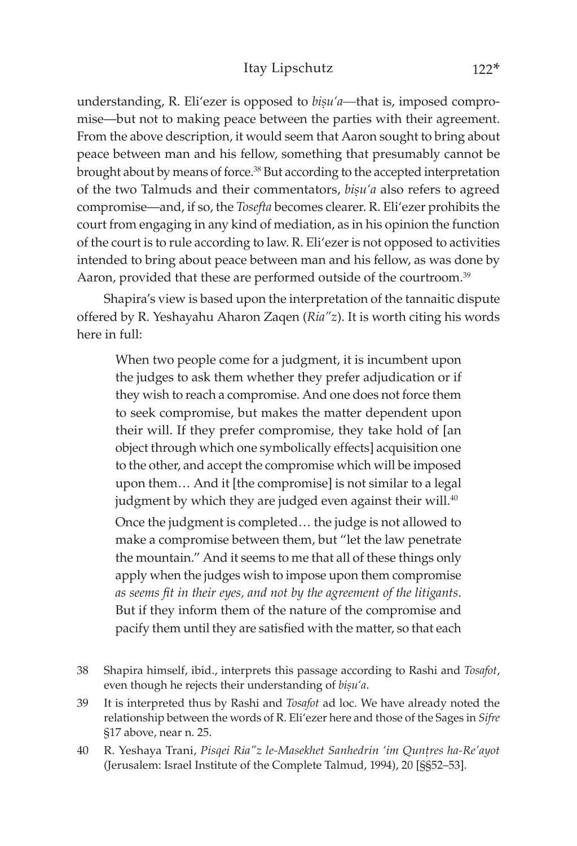understanding, R. Eli'ezer is opposed to *bisu'a*—that is, imposed compromise—but not to making peace between the parties with their agreement. From the above description, it would seem that Aaron sought to bring about peace between man and his fellow, something that presumably cannot be brought about by means of force.<sup>38</sup> But according to the accepted interpretation of the two Talmuds and their commentators, *bisu'a* also refers to agreed compromise—and, if so, the *Tosefta* becomes clearer. R. Eli'ezer prohibits the court from engaging in any kind of mediation, as in his opinion the function of the court is to rule according to law. R. Eli'ezer is not opposed to activities intended to bring about peace between man and his fellow, as was done by Aaron, provided that these are performed outside of the courtroom.<sup>39</sup>

Shapira's view is based upon the interpretation of the tannaitic dispute offered by R. Yeshayahu Aharon Zaqen (*Ria"z*). It is worth citing his words here in full:

When two people come for a judgment, it is incumbent upon the judges to ask them whether they prefer adjudication or if they wish to reach a compromise. And one does not force them to seek compromise, but makes the matter dependent upon their will. If they prefer compromise, they take hold of [an object through which one symbolically effects] acquisition one to the other, and accept the compromise which will be imposed upon them… And it [the compromise] is not similar to a legal judgment by which they are judged even against their will.<sup>40</sup>

Once the judgment is completed… the judge is not allowed to make a compromise between them, but "let the law penetrate the mountain." And it seems to me that all of these things only apply when the judges wish to impose upon them compromise *as seems fit in their eyes, and not by the agreement of the litigants*. But if they inform them of the nature of the compromise and pacify them until they are satisfied with the matter, so that each

- 38 Shapira himself, ibid., interprets this passage according to Rashi and *Tosafot*, even though he rejects their understanding of *bisu'a*.
- 39 It is interpreted thus by Rashi and *Tosafot* ad loc. We have already noted the relationship between the words of R. Eli'ezer here and those of the Sages in *Sifre*  §17 above, near n. 25.
- 40 R. Yeshaya Trani, Pisqei Ria"z le-Masekhet Sanhedrin 'im Quntres ha-Re'ayot (Jerusalem: Israel Institute of the Complete Talmud, 1994), 20 [§§52–53].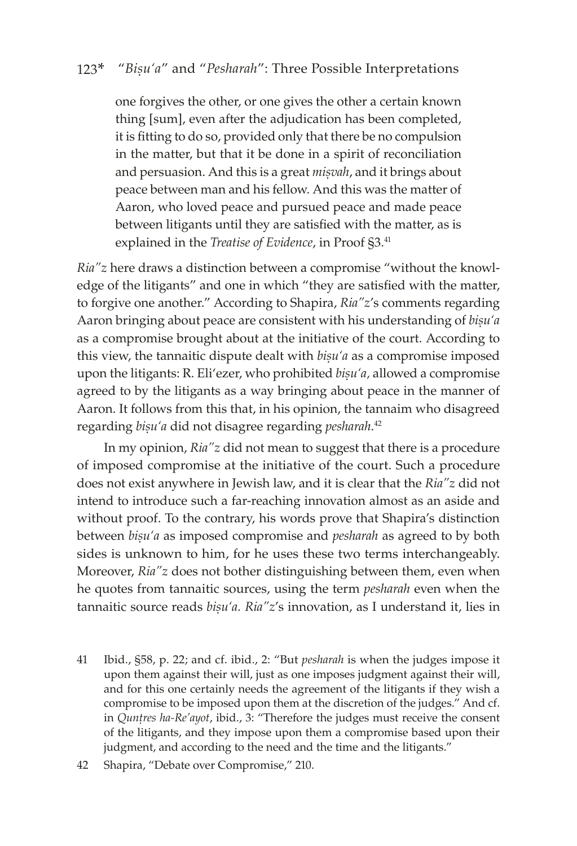one forgives the other, or one gives the other a certain known thing [sum], even after the adjudication has been completed, it is fitting to do so, provided only that there be no compulsion in the matter, but that it be done in a spirit of reconciliation and persuasion. And this is a great *misvah*, and it brings about peace between man and his fellow. And this was the matter of Aaron, who loved peace and pursued peace and made peace between litigants until they are satisfied with the matter, as is explained in the *Treatise of Evidence*, in Proof §3.<sup>41</sup>

*Ria"z* here draws a distinction between a compromise "without the knowledge of the litigants" and one in which "they are satisfied with the matter, to forgive one another." According to Shapira, *Ria"z*'s comments regarding Aaron bringing about peace are consistent with his understanding of *bisu'a* as a compromise brought about at the initiative of the court. According to this view, the tannaitic dispute dealt with *bisu'a* as a compromise imposed upon the litigants: R. Eli'ezer, who prohibited *bisu'a*, allowed a compromise agreed to by the litigants as a way bringing about peace in the manner of Aaron. It follows from this that, in his opinion, the tannaim who disagreed regarding *biṣu'a* did not disagree regarding *pesharah*.<sup>42</sup>

In my opinion, *Ria"z* did not mean to suggest that there is a procedure of imposed compromise at the initiative of the court. Such a procedure does not exist anywhere in Jewish law, and it is clear that the *Ria"z* did not intend to introduce such a far-reaching innovation almost as an aside and without proof. To the contrary, his words prove that Shapira's distinction between *bisu'a* as imposed compromise and *pesharah* as agreed to by both sides is unknown to him, for he uses these two terms interchangeably. Moreover, *Ria"z* does not bother distinguishing between them, even when he quotes from tannaitic sources, using the term *pesharah* even when the tannaitic source reads *bișu'a. Ria"z's* innovation, as I understand it, lies in

41 Ibid., §58, p. 22; and cf. ibid., 2: "But *pesharah* is when the judges impose it upon them against their will, just as one imposes judgment against their will, and for this one certainly needs the agreement of the litigants if they wish a compromise to be imposed upon them at the discretion of the judges." And cf. in *Quntres ha-Re'ayot*, ibid., 3: "Therefore the judges must receive the consent of the litigants, and they impose upon them a compromise based upon their judgment, and according to the need and the time and the litigants."

<sup>42</sup> Shapira, "Debate over Compromise," 210.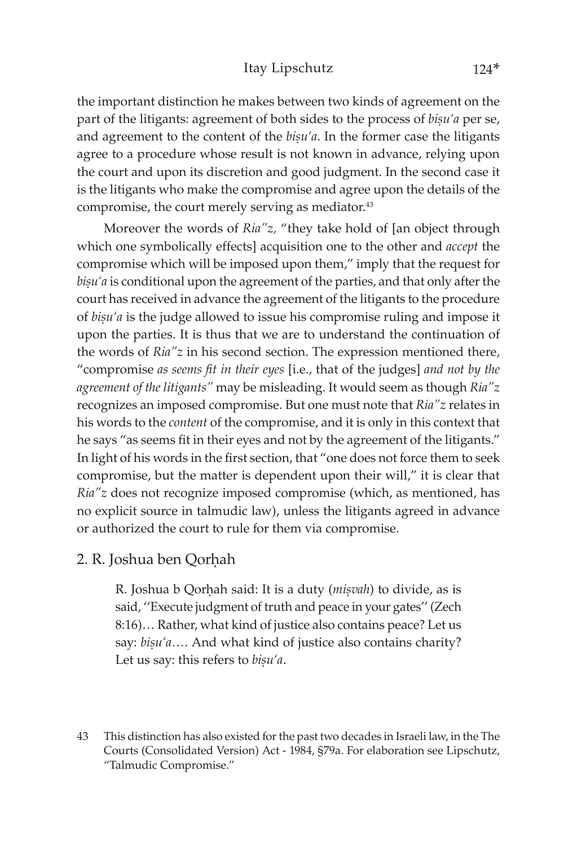#### Itay Lipschutz 124\*

the important distinction he makes between two kinds of agreement on the part of the litigants: agreement of both sides to the process of *bisu'a* per se, and agreement to the content of the *bisu'a*. In the former case the litigants agree to a procedure whose result is not known in advance, relying upon the court and upon its discretion and good judgment. In the second case it is the litigants who make the compromise and agree upon the details of the compromise, the court merely serving as mediator.<sup>43</sup>

Moreover the words of *Ria"z,* "they take hold of [an object through which one symbolically effects] acquisition one to the other and *accept* the compromise which will be imposed upon them," imply that the request for bisu'a is conditional upon the agreement of the parties, and that only after the court has received in advance the agreement of the litigants to the procedure of *bisu'a* is the judge allowed to issue his compromise ruling and impose it upon the parties. It is thus that we are to understand the continuation of the words of *Ria"z* in his second section. The expression mentioned there, "compromise *as seems fit in their eyes* [i.e., that of the judges] *and not by the agreement of the litigants"* may be misleading. It would seem as though *Ria"z* recognizes an imposed compromise. But one must note that *Ria"z* relates in his words to the *content* of the compromise, and it is only in this context that he says "as seems fit in their eyes and not by the agreement of the litigants." In light of his words in the first section, that "one does not force them to seek compromise, but the matter is dependent upon their will," it is clear that *Ria"z* does not recognize imposed compromise (which, as mentioned, has no explicit source in talmudic law), unless the litigants agreed in advance or authorized the court to rule for them via compromise.

### 2. R. Joshua ben Qorhah

R. Joshua b Qorhah said: It is a duty (*miṣvah*) to divide, as is said, ''Execute judgment of truth and peace in your gates'' (Zech 8:16)… Rather, what kind of justice also contains peace? Let us say: *bisu'a*.... And what kind of justice also contains charity? Let us say: this refers to *bisu'a*.

43 This distinction has also existed for the past two decades in Israeli law, in the The Courts (Consolidated Version) Act - 1984, §79a. For elaboration see Lipschutz, "Talmudic Compromise."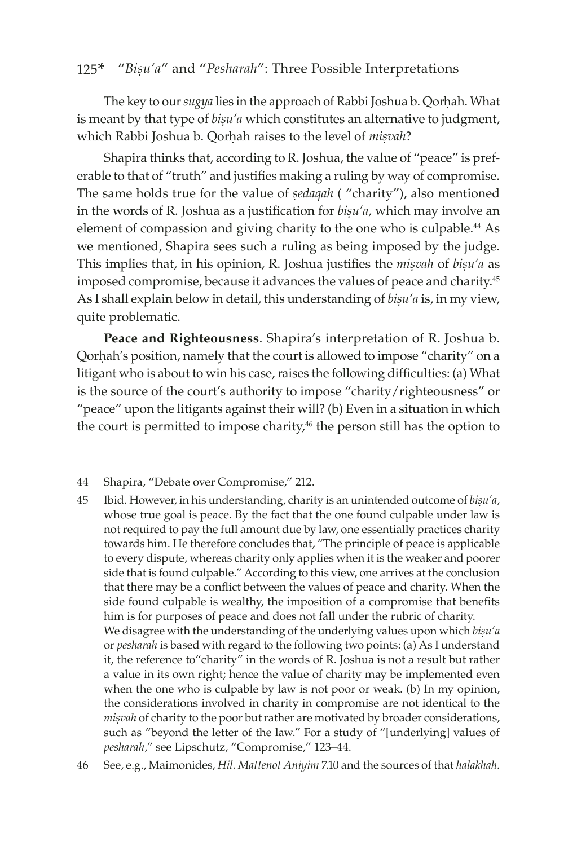The key to our *sugya* lies in the approach of Rabbi Joshua b. Qorhah. What is meant by that type of *bisu'a* which constitutes an alternative to judgment, which Rabbi Joshua b. Qorhah raises to the level of *misvah*?

Shapira thinks that, according to R. Joshua, the value of "peace" is preferable to that of "truth" and justifies making a ruling by way of compromise. The same holds true for the value of *sedaqah* ( "charity"), also mentioned in the words of R. Joshua as a justification for *bisu'a*, which may involve an element of compassion and giving charity to the one who is culpable.<sup>44</sup> As we mentioned, Shapira sees such a ruling as being imposed by the judge. This implies that, in his opinion, R. Joshua justifies the *misvah* of *bisu'a* as imposed compromise, because it advances the values of peace and charity.<sup>45</sup> As I shall explain below in detail, this understanding of *bisu'a* is, in my view, quite problematic.

**Peace and Righteousness**. Shapira's interpretation of R. Joshua b. Qorhah's position, namely that the court is allowed to impose "charity" on a litigant who is about to win his case, raises the following difficulties: (a) What is the source of the court's authority to impose "charity/righteousness" or "peace" upon the litigants against their will? (b) Even in a situation in which the court is permitted to impose charity,<sup>46</sup> the person still has the option to

#### 44 Shapira, "Debate over Compromise," 212.

- 45 Ibid. However, in his understanding, charity is an unintended outcome of *biúu'a*, whose true goal is peace. By the fact that the one found culpable under law is not required to pay the full amount due by law, one essentially practices charity towards him. He therefore concludes that, "The principle of peace is applicable to every dispute, whereas charity only applies when it is the weaker and poorer side that is found culpable." According to this view, one arrives at the conclusion that there may be a conflict between the values of peace and charity. When the side found culpable is wealthy, the imposition of a compromise that benefits him is for purposes of peace and does not fall under the rubric of charity. We disagree with the understanding of the underlying values upon which *bisu'a* or *pesharah* is based with regard to the following two points: (a) As I understand it, the reference to"charity" in the words of R. Joshua is not a result but rather a value in its own right; hence the value of charity may be implemented even when the one who is culpable by law is not poor or weak. (b) In my opinion, the considerations involved in charity in compromise are not identical to the *miúvah* of charity to the poor but rather are motivated by broader considerations, such as "beyond the letter of the law." For a study of "[underlying] values of *pesharah*," see Lipschutz, "Compromise," 123–44.
- 46 See, e.g., Maimonides, *Hil. Mattenot Aniyim* 7.10 and the sources of that *halakhah*.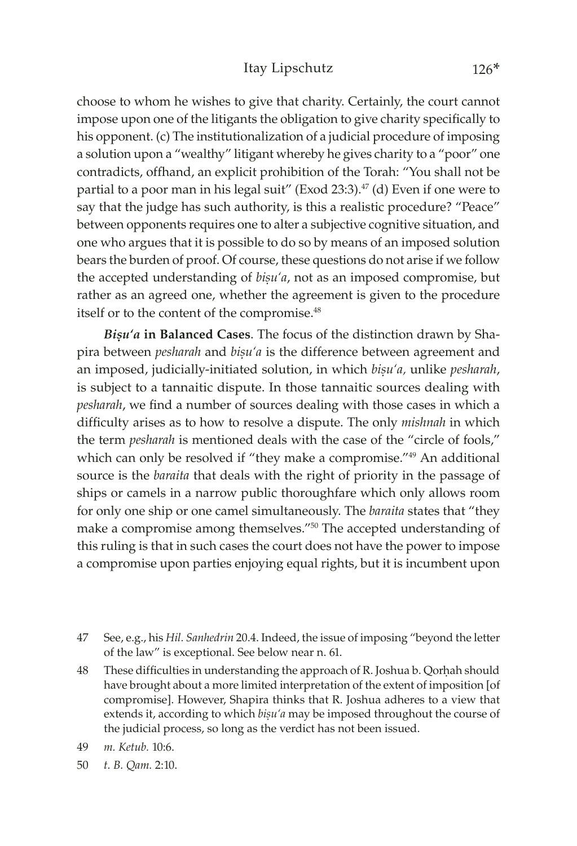choose to whom he wishes to give that charity. Certainly, the court cannot impose upon one of the litigants the obligation to give charity specifically to his opponent. (c) The institutionalization of a judicial procedure of imposing a solution upon a "wealthy" litigant whereby he gives charity to a "poor" one contradicts, offhand, an explicit prohibition of the Torah: "You shall not be partial to a poor man in his legal suit" (Exod 23:3). $47$  (d) Even if one were to say that the judge has such authority, is this a realistic procedure? "Peace" between opponents requires one to alter a subjective cognitive situation, and one who argues that it is possible to do so by means of an imposed solution bears the burden of proof. Of course, these questions do not arise if we follow the accepted understanding of *bisu'a*, not as an imposed compromise, but rather as an agreed one, whether the agreement is given to the procedure itself or to the content of the compromise.<sup>48</sup>

**Bisu'a** in Balanced Cases. The focus of the distinction drawn by Shapira between *pesharah* and *bisu'a* is the difference between agreement and an imposed, judicially-initiated solution, in which *bisu'a*, unlike *pesharah*, is subject to a tannaitic dispute. In those tannaitic sources dealing with *pesharah*, we find a number of sources dealing with those cases in which a difficulty arises as to how to resolve a dispute. The only *mishnah* in which the term *pesharah* is mentioned deals with the case of the "circle of fools," which can only be resolved if "they make a compromise."49 An additional source is the *baraita* that deals with the right of priority in the passage of ships or camels in a narrow public thoroughfare which only allows room for only one ship or one camel simultaneously. The *baraita* states that "they make a compromise among themselves."50 The accepted understanding of this ruling is that in such cases the court does not have the power to impose a compromise upon parties enjoying equal rights, but it is incumbent upon

- 47 See, e.g., his *Hil. Sanhedrin* 20.4. Indeed, the issue of imposing "beyond the letter of the law" is exceptional. See below near n. 61.
- 48 These difficulties in understanding the approach of R. Joshua b. Qorḥah should have brought about a more limited interpretation of the extent of imposition [of compromise]. However, Shapira thinks that R. Joshua adheres to a view that extends it, according to which *bisu'a* may be imposed throughout the course of the judicial process, so long as the verdict has not been issued.
- 49 *m. Ketub.* 10:6.
- 50 *t. B. Qam.* 2:10.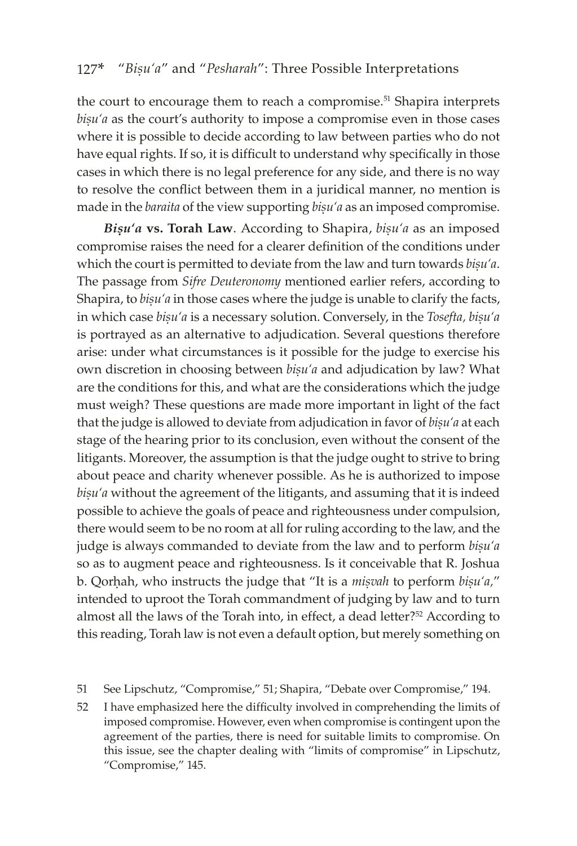the court to encourage them to reach a compromise.<sup>51</sup> Shapira interprets *bisu'a* as the court's authority to impose a compromise even in those cases where it is possible to decide according to law between parties who do not have equal rights. If so, it is difficult to understand why specifically in those cases in which there is no legal preference for any side, and there is no way to resolve the conflict between them in a juridical manner, no mention is made in the *baraita* of the view supporting *bisu'a* as an imposed compromise.

*Bişu'a* **vs. Torah Law**. According to Shapira, *bisu'a* as an imposed compromise raises the need for a clearer definition of the conditions under which the court is permitted to deviate from the law and turn towards *bisu'a*. The passage from *Sifre Deuteronomy* mentioned earlier refers, according to Shapira, to *bisu'a* in those cases where the judge is unable to clarify the facts, in which case *bisu'a* is a necessary solution. Conversely, in the *Tosefta*, *bisu'a* is portrayed as an alternative to adjudication. Several questions therefore arise: under what circumstances is it possible for the judge to exercise his own discretion in choosing between *bisu'a* and adjudication by law? What are the conditions for this, and what are the considerations which the judge must weigh? These questions are made more important in light of the fact that the judge is allowed to deviate from adjudication in favor of *bisu'a* at each stage of the hearing prior to its conclusion, even without the consent of the litigants. Moreover, the assumption is that the judge ought to strive to bring about peace and charity whenever possible. As he is authorized to impose bisu'a without the agreement of the litigants, and assuming that it is indeed possible to achieve the goals of peace and righteousness under compulsion, there would seem to be no room at all for ruling according to the law, and the judge is always commanded to deviate from the law and to perform *bisu'a* so as to augment peace and righteousness. Is it conceivable that R. Joshua b. Qorhah, who instructs the judge that "It is a *miṣvah* to perform *biṣu'a*," intended to uproot the Torah commandment of judging by law and to turn almost all the laws of the Torah into, in effect, a dead letter?<sup>52</sup> According to this reading, Torah law is not even a default option, but merely something on

<sup>51</sup> See Lipschutz, "Compromise," 51; Shapira, "Debate over Compromise," 194.

<sup>52</sup> I have emphasized here the difficulty involved in comprehending the limits of imposed compromise. However, even when compromise is contingent upon the agreement of the parties, there is need for suitable limits to compromise. On this issue, see the chapter dealing with "limits of compromise" in Lipschutz, "Compromise," 145.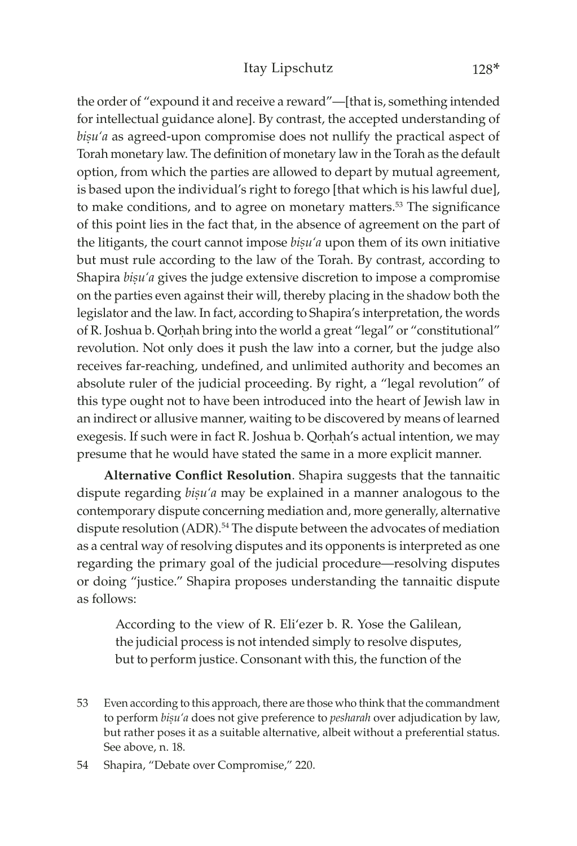the order of "expound it and receive a reward"—[that is, something intended for intellectual guidance alone]. By contrast, the accepted understanding of bisu'a as agreed-upon compromise does not nullify the practical aspect of Torah monetary law. The definition of monetary law in the Torah as the default option, from which the parties are allowed to depart by mutual agreement, is based upon the individual's right to forego [that which is his lawful due], to make conditions, and to agree on monetary matters.<sup>53</sup> The significance of this point lies in the fact that, in the absence of agreement on the part of the litigants, the court cannot impose *bisu'a* upon them of its own initiative but must rule according to the law of the Torah. By contrast, according to Shapira *bisu'a* gives the judge extensive discretion to impose a compromise on the parties even against their will, thereby placing in the shadow both the legislator and the law. In fact, according to Shapira's interpretation, the words of R. Joshua b. Qorhah bring into the world a great "legal" or "constitutional" revolution. Not only does it push the law into a corner, but the judge also receives far-reaching, undefined, and unlimited authority and becomes an absolute ruler of the judicial proceeding. By right, a "legal revolution" of this type ought not to have been introduced into the heart of Jewish law in an indirect or allusive manner, waiting to be discovered by means of learned exegesis. If such were in fact R. Joshua b. Qorhah's actual intention, we may presume that he would have stated the same in a more explicit manner.

**Alternative Conflict Resolution**. Shapira suggests that the tannaitic dispute regarding *bisu'a* may be explained in a manner analogous to the contemporary dispute concerning mediation and, more generally, alternative dispute resolution (ADR).<sup>54</sup> The dispute between the advocates of mediation as a central way of resolving disputes and its opponents is interpreted as one regarding the primary goal of the judicial procedure—resolving disputes or doing "justice." Shapira proposes understanding the tannaitic dispute as follows:

According to the view of R. Eli'ezer b. R. Yose the Galilean, the judicial process is not intended simply to resolve disputes, but to perform justice. Consonant with this, the function of the

<sup>53</sup> Even according to this approach, there are those who think that the commandment to perform *bisu'a* does not give preference to *pesharah* over adjudication by law, but rather poses it as a suitable alternative, albeit without a preferential status. See above, n. 18.

<sup>54</sup> Shapira, "Debate over Compromise," 220.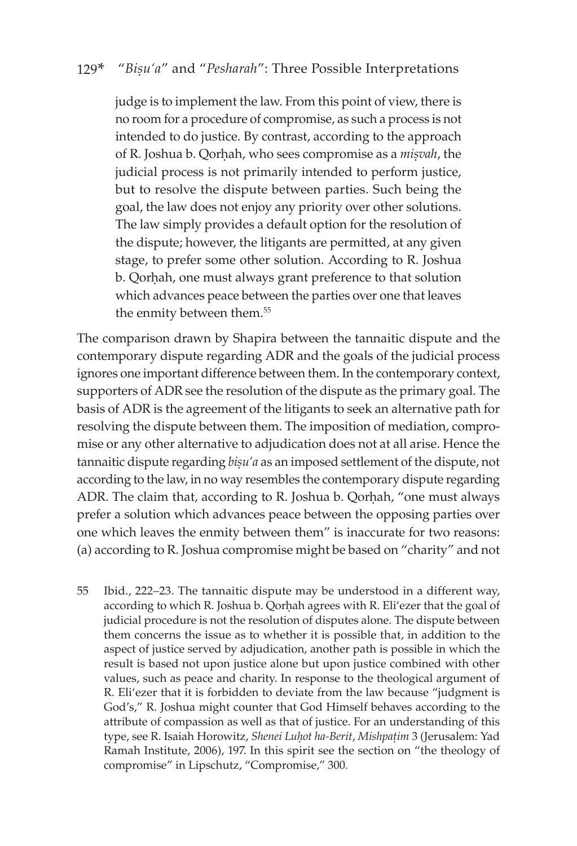judge is to implement the law. From this point of view, there is no room for a procedure of compromise, as such a process is not intended to do justice. By contrast, according to the approach of R. Joshua b. Qorhah, who sees compromise as a *misvah*, the judicial process is not primarily intended to perform justice, but to resolve the dispute between parties. Such being the goal, the law does not enjoy any priority over other solutions. The law simply provides a default option for the resolution of the dispute; however, the litigants are permitted, at any given stage, to prefer some other solution. According to R. Joshua b. Qorhah, one must always grant preference to that solution which advances peace between the parties over one that leaves the enmity between them.<sup>55</sup>

The comparison drawn by Shapira between the tannaitic dispute and the contemporary dispute regarding ADR and the goals of the judicial process ignores one important difference between them. In the contemporary context, supporters of ADR see the resolution of the dispute as the primary goal. The basis of ADR is the agreement of the litigants to seek an alternative path for resolving the dispute between them. The imposition of mediation, compromise or any other alternative to adjudication does not at all arise. Hence the tannaitic dispute regarding *bisu'a* as an imposed settlement of the dispute, not according to the law, in no way resembles the contemporary dispute regarding ADR. The claim that, according to R. Joshua b. Qorhah, "one must always prefer a solution which advances peace between the opposing parties over one which leaves the enmity between them" is inaccurate for two reasons: (a) according to R. Joshua compromise might be based on "charity" and not

55 Ibid., 222–23. The tannaitic dispute may be understood in a different way, according to which R. Joshua b. Qorhah agrees with R. Eli'ezer that the goal of judicial procedure is not the resolution of disputes alone. The dispute between them concerns the issue as to whether it is possible that, in addition to the aspect of justice served by adjudication, another path is possible in which the result is based not upon justice alone but upon justice combined with other values, such as peace and charity. In response to the theological argument of R. Eli'ezer that it is forbidden to deviate from the law because "judgment is God's," R. Joshua might counter that God Himself behaves according to the attribute of compassion as well as that of justice. For an understanding of this type, see R. Isaiah Horowitz, Shenei Luhot ha-Berit, Mishpațim 3 (Jerusalem: Yad Ramah Institute, 2006), 197. In this spirit see the section on "the theology of compromise" in Lipschutz, "Compromise," 300.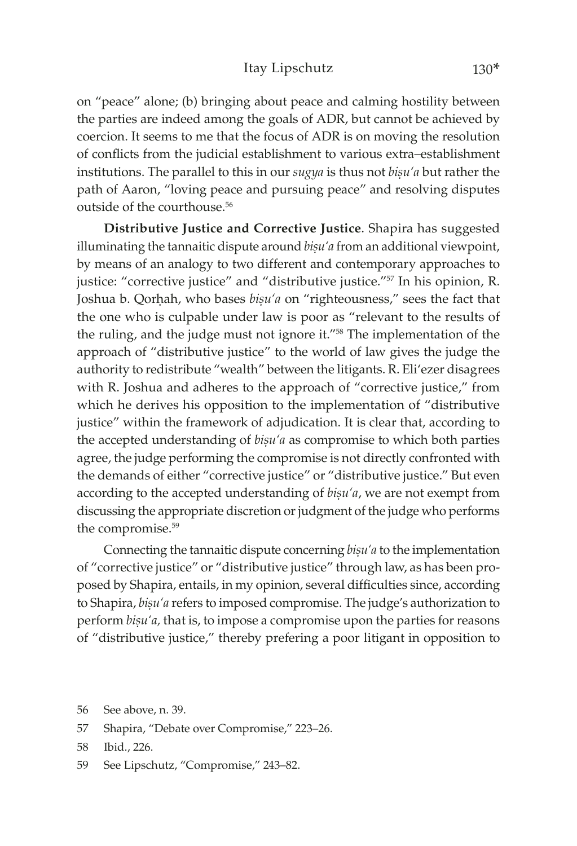#### Itay Lipschutz 130\*

on "peace" alone; (b) bringing about peace and calming hostility between the parties are indeed among the goals of ADR, but cannot be achieved by coercion. It seems to me that the focus of ADR is on moving the resolution of conflicts from the judicial establishment to various extra–establishment institutions. The parallel to this in our *sugya* is thus not *bisu'a* but rather the path of Aaron, "loving peace and pursuing peace" and resolving disputes outside of the courthouse.<sup>56</sup>

**Distributive Justice and Corrective Justice**. Shapira has suggested illuminating the tannaitic dispute around *bisu'a* from an additional viewpoint, by means of an analogy to two different and contemporary approaches to justice: "corrective justice" and "distributive justice."<sup>57</sup> In his opinion, R. Joshua b. Qorhah, who bases *bisu'a* on "righteousness," sees the fact that the one who is culpable under law is poor as "relevant to the results of the ruling, and the judge must not ignore it."58 The implementation of the approach of "distributive justice" to the world of law gives the judge the authority to redistribute "wealth" between the litigants. R. Eli'ezer disagrees with R. Joshua and adheres to the approach of "corrective justice," from which he derives his opposition to the implementation of "distributive justice" within the framework of adjudication. It is clear that, according to the accepted understanding of *bisu'a* as compromise to which both parties agree, the judge performing the compromise is not directly confronted with the demands of either "corrective justice" or "distributive justice." But even according to the accepted understanding of *bisu'a*, we are not exempt from discussing the appropriate discretion or judgment of the judge who performs the compromise.<sup>59</sup>

Connecting the tannaitic dispute concerning *bisu'a* to the implementation of "corrective justice" or "distributive justice" through law, as has been proposed by Shapira, entails, in my opinion, several difficulties since, according to Shapira, *bișu'a* refers to imposed compromise. The judge's authorization to perform  $b$ *isu'a*, that is, to impose a compromise upon the parties for reasons of "distributive justice," thereby prefering a poor litigant in opposition to

<sup>56</sup> See above, n. 39.

<sup>57</sup> Shapira, "Debate over Compromise," 223–26.

<sup>58</sup> Ibid., 226.

<sup>59</sup> See Lipschutz, "Compromise," 243–82.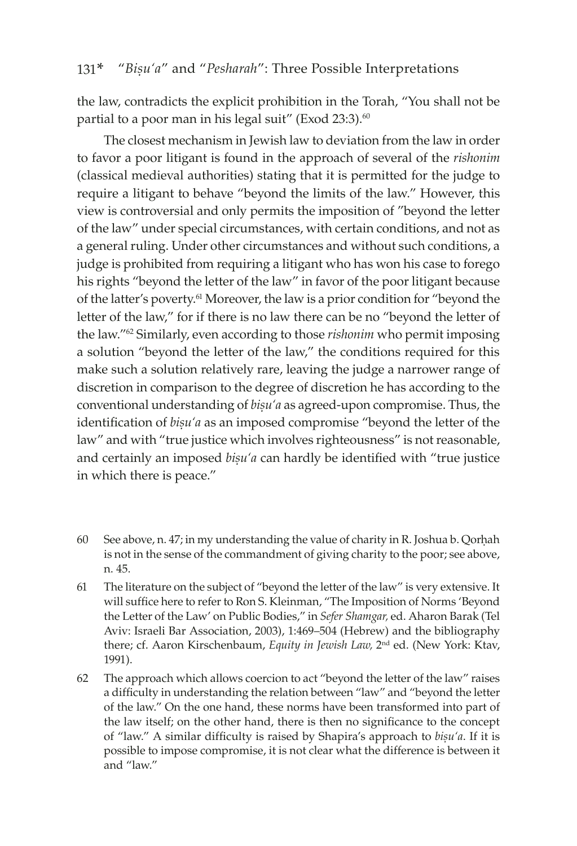the law, contradicts the explicit prohibition in the Torah, "You shall not be partial to a poor man in his legal suit" (Exod 23:3).<sup>60</sup>

The closest mechanism in Jewish law to deviation from the law in order to favor a poor litigant is found in the approach of several of the *rishonim* (classical medieval authorities) stating that it is permitted for the judge to require a litigant to behave "beyond the limits of the law." However, this view is controversial and only permits the imposition of "beyond the letter of the law" under special circumstances, with certain conditions, and not as a general ruling. Under other circumstances and without such conditions, a judge is prohibited from requiring a litigant who has won his case to forego his rights "beyond the letter of the law" in favor of the poor litigant because of the latter's poverty.61 Moreover, the law is a prior condition for "beyond the letter of the law," for if there is no law there can be no "beyond the letter of the law."62 Similarly, even according to those *rishonim* who permit imposing a solution "beyond the letter of the law," the conditions required for this make such a solution relatively rare, leaving the judge a narrower range of discretion in comparison to the degree of discretion he has according to the conventional understanding of *bisu'a* as agreed-upon compromise. Thus, the identification of *bisu'a* as an imposed compromise "beyond the letter of the law" and with "true justice which involves righteousness" is not reasonable, and certainly an imposed *bisu'a* can hardly be identified with "true justice in which there is peace."

- 60 See above, n. 47; in my understanding the value of charity in R. Joshua b. Qorhah is not in the sense of the commandment of giving charity to the poor; see above, n. 45.
- 61 The literature on the subject of "beyond the letter of the law" is very extensive. It will suffice here to refer to Ron S. Kleinman, "The Imposition of Norms 'Beyond the Letter of the Law' on Public Bodies," in *Sefer Shamgar,* ed. Aharon Barak (Tel Aviv: Israeli Bar Association, 2003), 1:469–504 (Hebrew) and the bibliography there; cf. Aaron Kirschenbaum, *Equity in Jewish Law,* 2nd ed. (New York: Ktav, 1991).
- 62 The approach which allows coercion to act "beyond the letter of the law" raises a difficulty in understanding the relation between "law" and "beyond the letter of the law." On the one hand, these norms have been transformed into part of the law itself; on the other hand, there is then no significance to the concept of "law." A similar difficulty is raised by Shapira's approach to *bisu'a*. If it is possible to impose compromise, it is not clear what the difference is between it and "law."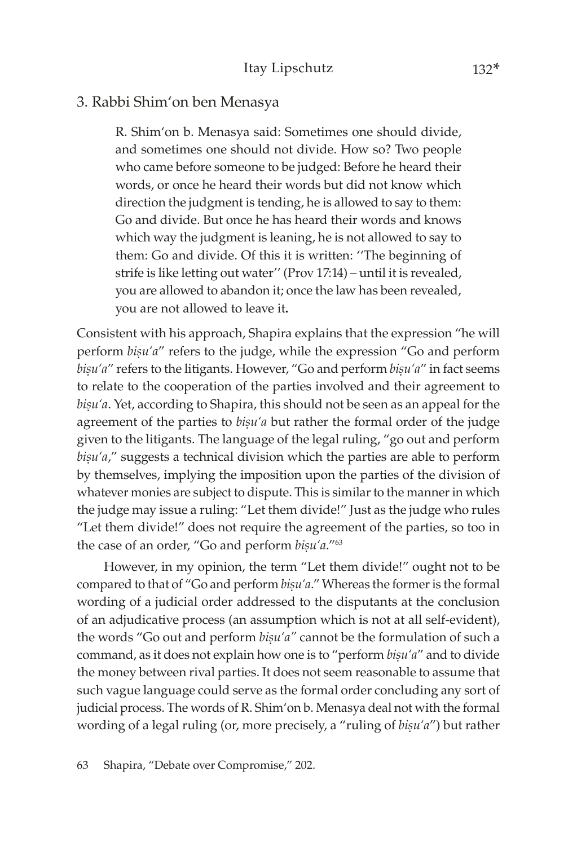### 3. Rabbi Shim'on ben Menasya

R. Shim'on b. Menasya said: Sometimes one should divide, and sometimes one should not divide. How so? Two people who came before someone to be judged: Before he heard their words, or once he heard their words but did not know which direction the judgment is tending, he is allowed to say to them: Go and divide. But once he has heard their words and knows which way the judgment is leaning, he is not allowed to say to them: Go and divide. Of this it is written: ''The beginning of strife is like letting out water'' (Prov 17:14) – until it is revealed, you are allowed to abandon it; once the law has been revealed, you are not allowed to leave it**.** 

Consistent with his approach, Shapira explains that the expression "he will perform *bisu'a"* refers to the judge, while the expression "Go and perform bisu'a" refers to the litigants. However, "Go and perform bisu'a" in fact seems to relate to the cooperation of the parties involved and their agreement to bisu'a. Yet, according to Shapira, this should not be seen as an appeal for the agreement of the parties to *bisu'a* but rather the formal order of the judge given to the litigants. The language of the legal ruling, "go out and perform bisu'a," suggests a technical division which the parties are able to perform by themselves, implying the imposition upon the parties of the division of whatever monies are subject to dispute. This is similar to the manner in which the judge may issue a ruling: "Let them divide!" Just as the judge who rules "Let them divide!" does not require the agreement of the parties, so too in the case of an order, "Go and perform *bisu'a*."<sup>63</sup>

However, in my opinion, the term "Let them divide!" ought not to be compared to that of "Go and perform *bisu'a*." Whereas the former is the formal wording of a judicial order addressed to the disputants at the conclusion of an adjudicative process (an assumption which is not at all self-evident), the words "Go out and perform *bisu'a"* cannot be the formulation of such a command, as it does not explain how one is to "perform *bisu'a"* and to divide the money between rival parties. It does not seem reasonable to assume that such vague language could serve as the formal order concluding any sort of judicial process. The words of R. Shim'on b. Menasya deal not with the formal wording of a legal ruling (or, more precisely, a "ruling of *bisu'a*") but rather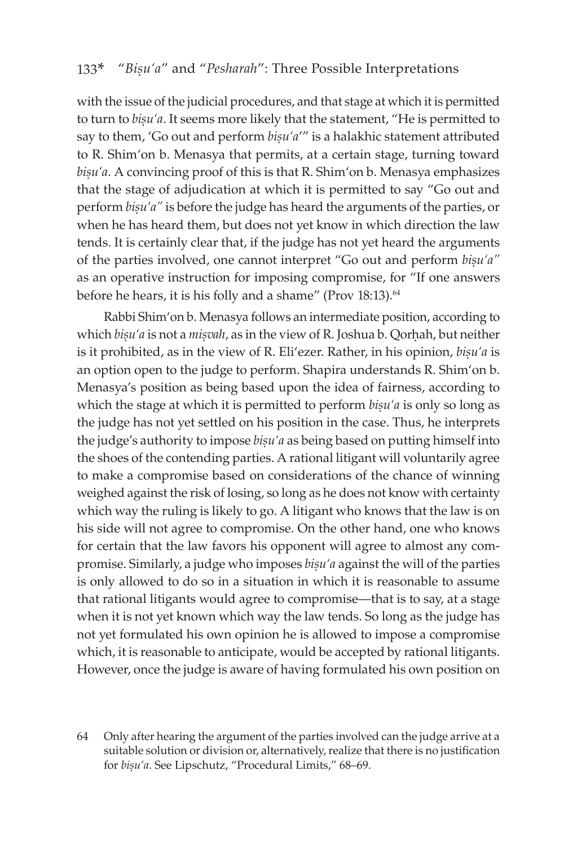with the issue of the judicial procedures, and that stage at which it is permitted to turn to *bisu'a*. It seems more likely that the statement, "He is permitted to say to them, 'Go out and perform *bisu'a'"* is a halakhic statement attributed to R. Shim'on b. Menasya that permits, at a certain stage, turning toward bișu'a. A convincing proof of this is that R. Shim'on b. Menasya emphasizes that the stage of adjudication at which it is permitted to say "Go out and perform *bisu'a"* is before the judge has heard the arguments of the parties, or when he has heard them, but does not yet know in which direction the law tends. It is certainly clear that, if the judge has not yet heard the arguments of the parties involved, one cannot interpret "Go out and perform *bisu'a"* as an operative instruction for imposing compromise, for "If one answers before he hears, it is his folly and a shame" (Prov 18:13).<sup>64</sup>

Rabbi Shim'on b. Menasya follows an intermediate position, according to which *bisu'a* is not a *misvah*, as in the view of R. Joshua b. Qorhah, but neither is it prohibited, as in the view of R. Eli'ezer. Rather, in his opinion, *bisu'a* is an option open to the judge to perform. Shapira understands R. Shim'on b. Menasya's position as being based upon the idea of fairness, according to which the stage at which it is permitted to perform  $bisu'a$  is only so long as the judge has not yet settled on his position in the case. Thus, he interprets the judge's authority to impose *bisu'a* as being based on putting himself into the shoes of the contending parties. A rational litigant will voluntarily agree to make a compromise based on considerations of the chance of winning weighed against the risk of losing, so long as he does not know with certainty which way the ruling is likely to go. A litigant who knows that the law is on his side will not agree to compromise. On the other hand, one who knows for certain that the law favors his opponent will agree to almost any compromise. Similarly, a judge who imposes *bisu'a* against the will of the parties is only allowed to do so in a situation in which it is reasonable to assume that rational litigants would agree to compromise—that is to say, at a stage when it is not yet known which way the law tends. So long as the judge has not yet formulated his own opinion he is allowed to impose a compromise which, it is reasonable to anticipate, would be accepted by rational litigants. However, once the judge is aware of having formulated his own position on

64 Only after hearing the argument of the parties involved can the judge arrive at a suitable solution or division or, alternatively, realize that there is no justification for *bisu'a*. See Lipschutz, "Procedural Limits," 68-69.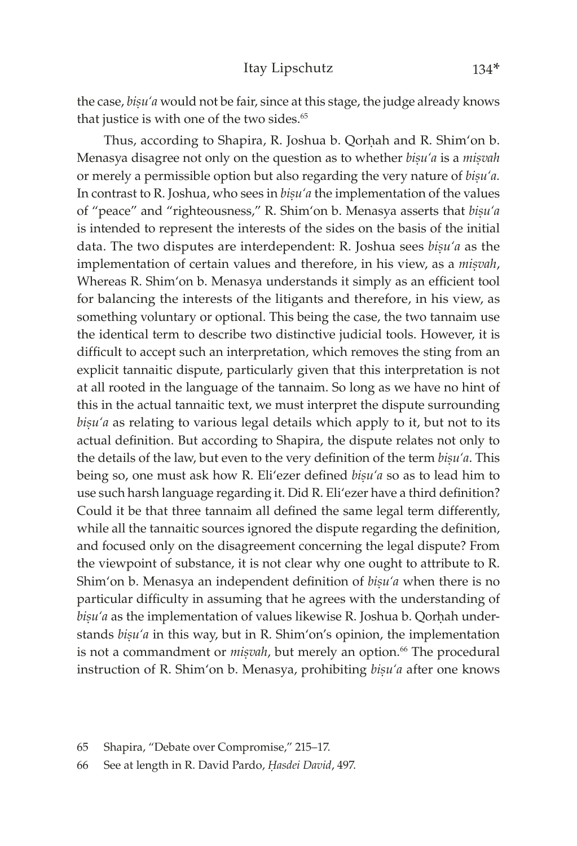the case, *bisu'a* would not be fair, since at this stage, the judge already knows that justice is with one of the two sides.<sup>65</sup>

Thus, according to Shapira, R. Joshua b. Qorhah and R. Shim'on b. Menasya disagree not only on the question as to whether *bisu'a* is a *misvah* or merely a permissible option but also regarding the very nature of *bisu'a*. In contrast to R. Joshua, who sees in *bisu'a* the implementation of the values of "peace" and "righteousness," R. Shim'on b. Menasya asserts that *bisu'a* is intended to represent the interests of the sides on the basis of the initial data. The two disputes are interdependent: R. Joshua sees *bisu'a* as the implementation of certain values and therefore, in his view, as a *misvah*, Whereas R. Shim'on b. Menasya understands it simply as an efficient tool for balancing the interests of the litigants and therefore, in his view, as something voluntary or optional. This being the case, the two tannaim use the identical term to describe two distinctive judicial tools. However, it is difficult to accept such an interpretation, which removes the sting from an explicit tannaitic dispute, particularly given that this interpretation is not at all rooted in the language of the tannaim. So long as we have no hint of this in the actual tannaitic text, we must interpret the dispute surrounding bisu'a as relating to various legal details which apply to it, but not to its actual definition. But according to Shapira, the dispute relates not only to the details of the law, but even to the very definition of the term *bisu'a*. This being so, one must ask how R. Eli'ezer defined *bisu'a* so as to lead him to use such harsh language regarding it. Did R. Eli'ezer have a third definition? Could it be that three tannaim all defined the same legal term differently, while all the tannaitic sources ignored the dispute regarding the definition, and focused only on the disagreement concerning the legal dispute? From the viewpoint of substance, it is not clear why one ought to attribute to R. Shim'on b. Menasya an independent definition of *bisu'a* when there is no particular difficulty in assuming that he agrees with the understanding of bișu'a as the implementation of values likewise R. Joshua b. Qorhah understands *bișu'a* in this way, but in R. Shim'on's opinion, the implementation is not a commandment or *misvah*, but merely an option.<sup>66</sup> The procedural instruction of R. Shim'on b. Menasya, prohibiting *bisu'a* after one knows

<sup>65</sup> Shapira, "Debate over Compromise," 215–17.

<sup>66</sup> See at length in R. David Pardo, *Êasdei David*, 497.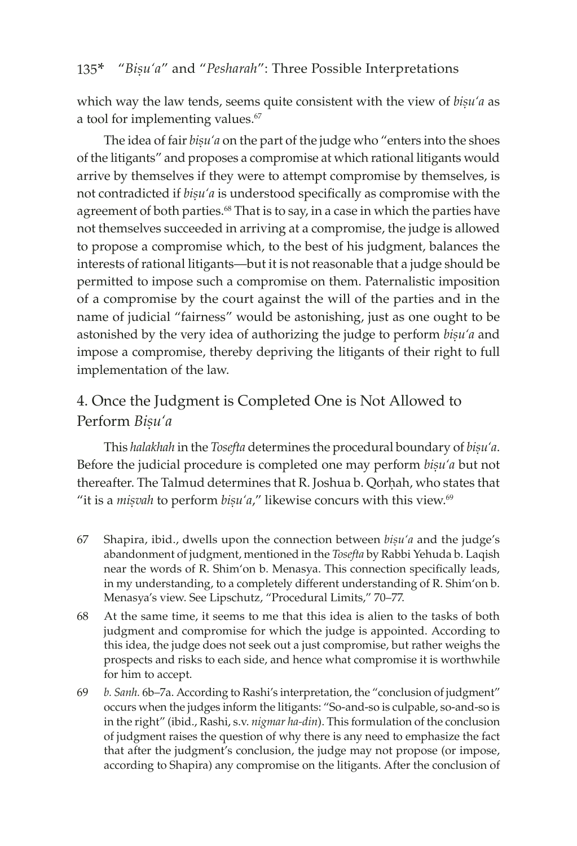which way the law tends, seems quite consistent with the view of *bisu'a* as a tool for implementing values.<sup>67</sup>

The idea of fair *bisu'a* on the part of the judge who "enters into the shoes" of the litigants" and proposes a compromise at which rational litigants would arrive by themselves if they were to attempt compromise by themselves, is not contradicted if *bisu'a* is understood specifically as compromise with the agreement of both parties.<sup>68</sup> That is to say, in a case in which the parties have not themselves succeeded in arriving at a compromise, the judge is allowed to propose a compromise which, to the best of his judgment, balances the interests of rational litigants—but it is not reasonable that a judge should be permitted to impose such a compromise on them. Paternalistic imposition of a compromise by the court against the will of the parties and in the name of judicial "fairness" would be astonishing, just as one ought to be astonished by the very idea of authorizing the judge to perform *bisu'a* and impose a compromise, thereby depriving the litigants of their right to full implementation of the law.

# 4. Once the Judgment is Completed One is Not Allowed to Perform *Bisu'a*

This halakhah in the *Tosefta* determines the procedural boundary of bisu'a. Before the judicial procedure is completed one may perform *bisu'a* but not thereafter. The Talmud determines that R. Joshua b. Qorhah, who states that "it is a *misvah* to perform  $bisu'a''$ , likewise concurs with this view.<sup>69</sup>

- 67 Shapira, ibid., dwells upon the connection between *bișu'a* and the judge's abandonment of judgment, mentioned in the *Tosefta* by Rabbi Yehuda b. Laqish near the words of R. Shim'on b. Menasya. This connection specifically leads, in my understanding, to a completely different understanding of R. Shim'on b. Menasya's view. See Lipschutz, "Procedural Limits," 70–77.
- 68 At the same time, it seems to me that this idea is alien to the tasks of both judgment and compromise for which the judge is appointed. According to this idea, the judge does not seek out a just compromise, but rather weighs the prospects and risks to each side, and hence what compromise it is worthwhile for him to accept.
- 69 *b. Sanh.* 6b–7a. According to Rashi's interpretation, the "conclusion of judgment" occurs when the judges inform the litigants: "So-and-so is culpable, so-and-so is in the right" (ibid., Rashi, s.v. *nigmar ha-din*). This formulation of the conclusion of judgment raises the question of why there is any need to emphasize the fact that after the judgment's conclusion, the judge may not propose (or impose, according to Shapira) any compromise on the litigants. After the conclusion of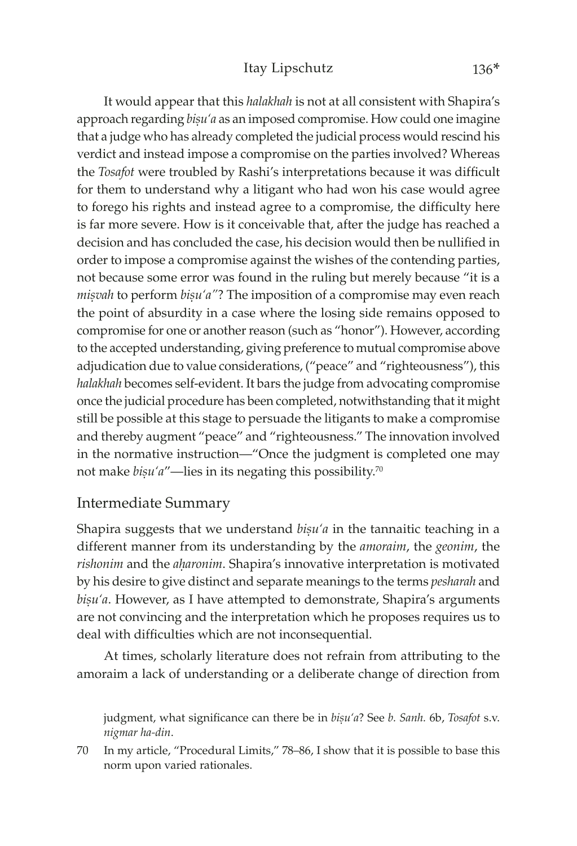It would appear that this *halakhah* is not at all consistent with Shapira's approach regarding *bisu'a* as an imposed compromise. How could one imagine that a judge who has already completed the judicial process would rescind his verdict and instead impose a compromise on the parties involved? Whereas the *Tosafot* were troubled by Rashi's interpretations because it was difficult for them to understand why a litigant who had won his case would agree to forego his rights and instead agree to a compromise, the difficulty here is far more severe. How is it conceivable that, after the judge has reached a decision and has concluded the case, his decision would then be nullified in order to impose a compromise against the wishes of the contending parties, not because some error was found in the ruling but merely because "it is a *misvah* to perform *bisu'a*"? The imposition of a compromise may even reach the point of absurdity in a case where the losing side remains opposed to compromise for one or another reason (such as "honor"). However, according to the accepted understanding, giving preference to mutual compromise above adjudication due to value considerations, ("peace" and "righteousness"), this *halakhah* becomes self-evident. It bars the judge from advocating compromise once the judicial procedure has been completed, notwithstanding that it might still be possible at this stage to persuade the litigants to make a compromise and thereby augment "peace" and "righteousness." The innovation involved in the normative instruction—"Once the judgment is completed one may not make *bisu'a"*—lies in its negating this possibility.<sup>70</sup>

### Intermediate Summary

Shapira suggests that we understand *bisu'a* in the tannaitic teaching in a different manner from its understanding by the *amoraim*, the *geonim*, the rishonim and the *aharonim*. Shapira's innovative interpretation is motivated by his desire to give distinct and separate meanings to the terms *pesharah* and bisu'a. However, as I have attempted to demonstrate, Shapira's arguments are not convincing and the interpretation which he proposes requires us to deal with difficulties which are not inconsequential.

At times, scholarly literature does not refrain from attributing to the amoraim a lack of understanding or a deliberate change of direction from

judgment, what significance can there be in *bișu'a*? See *b. Sanh.* 6b, *Tosafot* s.v. *nigmar ha-din*.

<sup>70</sup> In my article, "Procedural Limits," 78–86, I show that it is possible to base this norm upon varied rationales.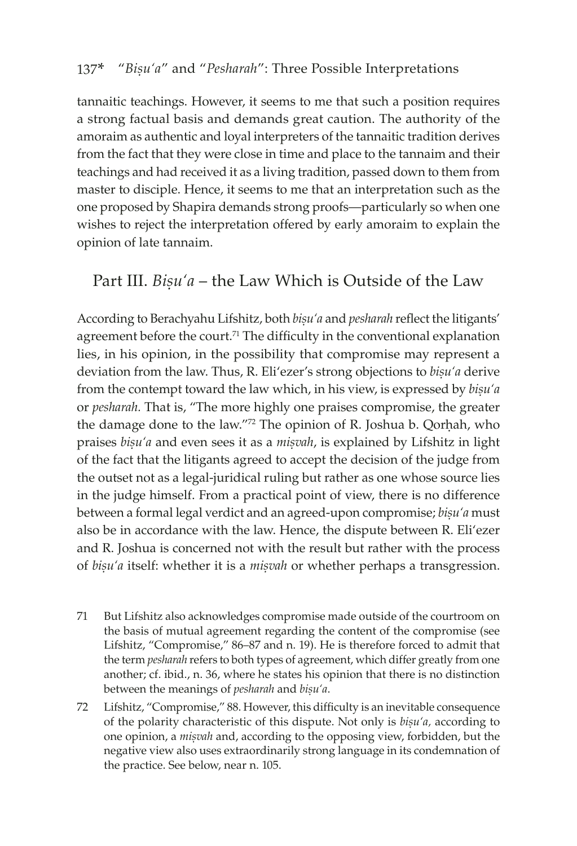tannaitic teachings. However, it seems to me that such a position requires a strong factual basis and demands great caution. The authority of the amoraim as authentic and loyal interpreters of the tannaitic tradition derives from the fact that they were close in time and place to the tannaim and their teachings and had received it as a living tradition, passed down to them from master to disciple. Hence, it seems to me that an interpretation such as the one proposed by Shapira demands strong proofs—particularly so when one wishes to reject the interpretation offered by early amoraim to explain the opinion of late tannaim.

# Part III. *Bisu'a* – the Law Which is Outside of the Law

According to Berachyahu Lifshitz, both *bisu'a* and *pesharah* reflect the litigants' agreement before the court.<sup>71</sup> The difficulty in the conventional explanation lies, in his opinion, in the possibility that compromise may represent a deviation from the law. Thus, R. Eli'ezer's strong objections to *bisu'a* derive from the contempt toward the law which, in his view, is expressed by *bisu'a* or *pesharah.* That is, "The more highly one praises compromise, the greater the damage done to the law."<sup>72</sup> The opinion of R. Joshua b. Qorhah, who praises *biúu'a* and even sees it as a *miúvah*, is explained by Lifshitz in light of the fact that the litigants agreed to accept the decision of the judge from the outset not as a legal-juridical ruling but rather as one whose source lies in the judge himself. From a practical point of view, there is no difference between a formal legal verdict and an agreed-upon compromise; *bisu'a* must also be in accordance with the law. Hence, the dispute between R. Eli'ezer and R. Joshua is concerned not with the result but rather with the process of *bisu'a* itself: whether it is a *misvah* or whether perhaps a transgression.

- 71 But Lifshitz also acknowledges compromise made outside of the courtroom on the basis of mutual agreement regarding the content of the compromise (see Lifshitz, "Compromise," 86–87 and n. 19). He is therefore forced to admit that the term *pesharah* refers to both types of agreement, which differ greatly from one another; cf. ibid., n. 36, where he states his opinion that there is no distinction between the meanings of *pesharah* and *bisu'a*.
- 72 Lifshitz, "Compromise," 88. However, this difficulty is an inevitable consequence of the polarity characteristic of this dispute. Not only is *bisu'a*, according to one opinion, a *mișvah* and, according to the opposing view, forbidden, but the negative view also uses extraordinarily strong language in its condemnation of the practice. See below, near n. 105.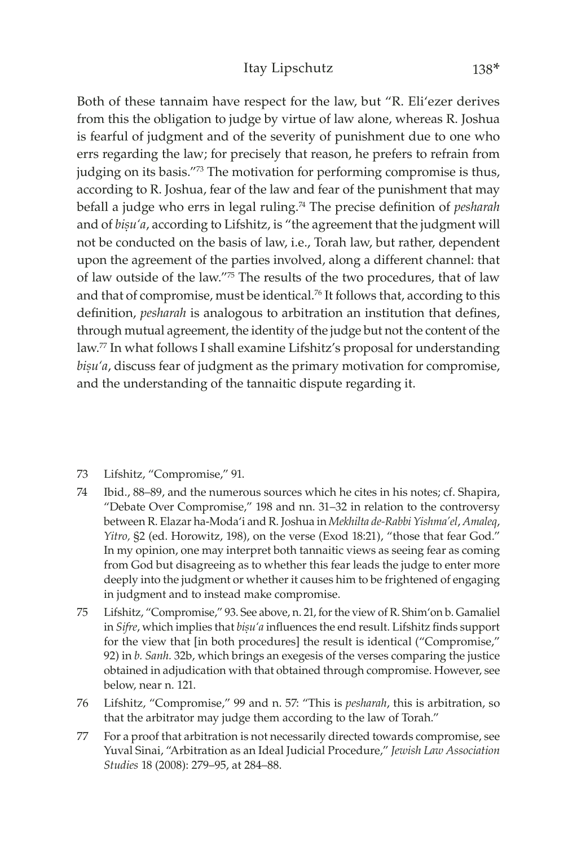Both of these tannaim have respect for the law, but "R. Eli'ezer derives from this the obligation to judge by virtue of law alone, whereas R. Joshua is fearful of judgment and of the severity of punishment due to one who errs regarding the law; for precisely that reason, he prefers to refrain from judging on its basis."73 The motivation for performing compromise is thus, according to R. Joshua, fear of the law and fear of the punishment that may befall a judge who errs in legal ruling.<sup>74</sup> The precise definition of *pesharah*  and of *bisu'a*, according to Lifshitz, is "the agreement that the judgment will not be conducted on the basis of law, i.e., Torah law, but rather, dependent upon the agreement of the parties involved, along a different channel: that of law outside of the law."75 The results of the two procedures, that of law and that of compromise, must be identical.<sup>76</sup> It follows that, according to this definition, *pesharah* is analogous to arbitration an institution that defines, through mutual agreement, the identity of the judge but not the content of the law.77 In what follows I shall examine Lifshitz's proposal for understanding bisu'a, discuss fear of judgment as the primary motivation for compromise, and the understanding of the tannaitic dispute regarding it.

- 73 Lifshitz, "Compromise," 91.
- 74 Ibid., 88–89, and the numerous sources which he cites in his notes; cf. Shapira, "Debate Over Compromise," 198 and nn. 31–32 in relation to the controversy between R. Elazar ha-Moda'i and R. Joshua in *Mekhilta de-Rabbi Yishma'el*, *Amaleq*, *Yitro,* §2 (ed. Horowitz, 198), on the verse (Exod 18:21), "those that fear God." In my opinion, one may interpret both tannaitic views as seeing fear as coming from God but disagreeing as to whether this fear leads the judge to enter more deeply into the judgment or whether it causes him to be frightened of engaging in judgment and to instead make compromise.
- 75 Lifshitz, "Compromise," 93. See above, n. 21, for the view of R. Shim'on b. Gamaliel in *Sifre*, which implies that  $bigu'a$  influences the end result. Lifshitz finds support for the view that [in both procedures] the result is identical ("Compromise," 92) in *b. Sanh.* 32b, which brings an exegesis of the verses comparing the justice obtained in adjudication with that obtained through compromise. However, see below, near n. 121.
- 76 Lifshitz, "Compromise," 99 and n. 57: "This is *pesharah*, this is arbitration, so that the arbitrator may judge them according to the law of Torah."
- 77 For a proof that arbitration is not necessarily directed towards compromise, see Yuval Sinai, "Arbitration as an Ideal Judicial Procedure," *Jewish Law Association Studies* 18 (2008): 279–95, at 284–88.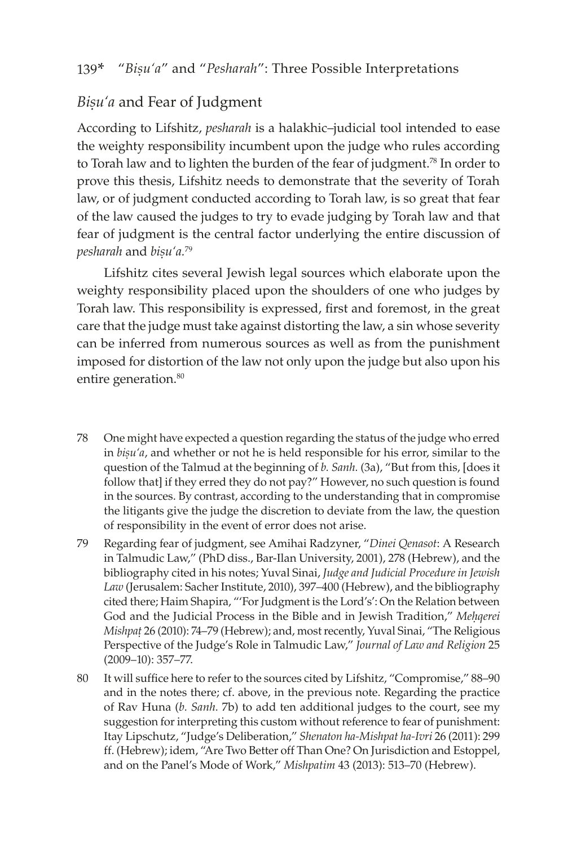## *Bisu'a* and Fear of Judgment

According to Lifshitz, *pesharah* is a halakhic–judicial tool intended to ease the weighty responsibility incumbent upon the judge who rules according to Torah law and to lighten the burden of the fear of judgment.<sup>78</sup> In order to prove this thesis, Lifshitz needs to demonstrate that the severity of Torah law, or of judgment conducted according to Torah law, is so great that fear of the law caused the judges to try to evade judging by Torah law and that fear of judgment is the central factor underlying the entire discussion of *pesharah* and *bisu'a*.<sup>79</sup>

Lifshitz cites several Jewish legal sources which elaborate upon the weighty responsibility placed upon the shoulders of one who judges by Torah law. This responsibility is expressed, first and foremost, in the great care that the judge must take against distorting the law, a sin whose severity can be inferred from numerous sources as well as from the punishment imposed for distortion of the law not only upon the judge but also upon his entire generation.<sup>80</sup>

- 78 One might have expected a question regarding the status of the judge who erred in *biúu'a*, and whether or not he is held responsible for his error, similar to the question of the Talmud at the beginning of *b. Sanh.* (3a), "But from this, [does it follow that] if they erred they do not pay?" However, no such question is found in the sources. By contrast, according to the understanding that in compromise the litigants give the judge the discretion to deviate from the law, the question of responsibility in the event of error does not arise.
- 79 Regarding fear of judgment, see Amihai Radzyner, "*Dinei Qenasot*: A Research in Talmudic Law," (PhD diss., Bar-Ilan University, 2001), 278 (Hebrew), and the bibliography cited in his notes; Yuval Sinai, *Judge and Judicial Procedure in Jewish Law* (Jerusalem: Sacher Institute, 2010), 397–400 (Hebrew), and the bibliography cited there; Haim Shapira, "'For Judgment is the Lord's': On the Relation between God and the Judicial Process in the Bible and in Jewish Tradition," Mehgerei *Mishpaû* 26 (2010): 74–79 (Hebrew); and, most recently, Yuval Sinai, "The Religious Perspective of the Judge's Role in Talmudic Law," *Journal of Law and Religion* 25 (2009–10): 357–77.
- 80 It will suffice here to refer to the sources cited by Lifshitz, "Compromise," 88–90 and in the notes there; cf. above, in the previous note. Regarding the practice of Rav Huna (*b. Sanh.* 7b) to add ten additional judges to the court, see my suggestion for interpreting this custom without reference to fear of punishment: Itay Lipschutz, "Judge's Deliberation," *Shenaton ha-Mishpat ha-Ivri* 26 (2011): 299 ff. (Hebrew); idem, "Are Two Better off Than One? On Jurisdiction and Estoppel, and on the Panel's Mode of Work," *Mishpatim* 43 (2013): 513–70 (Hebrew).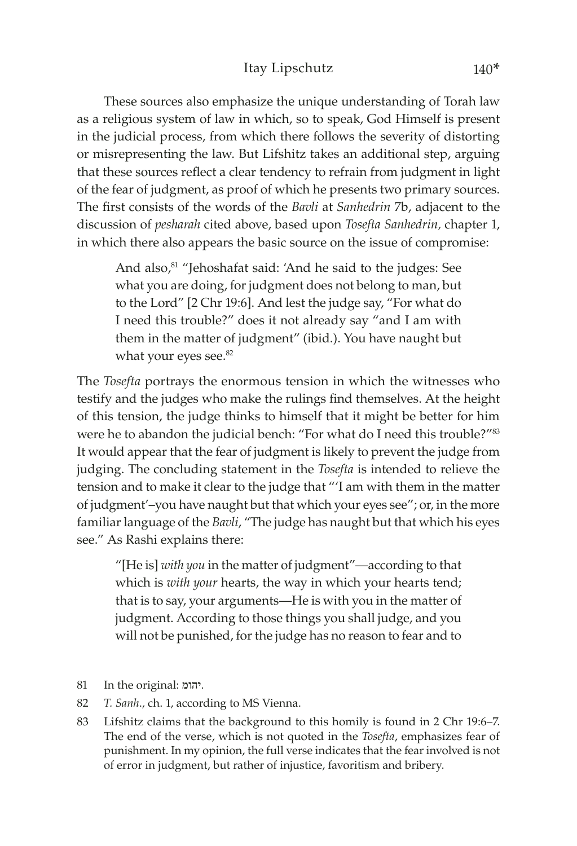These sources also emphasize the unique understanding of Torah law as a religious system of law in which, so to speak, God Himself is present in the judicial process, from which there follows the severity of distorting or misrepresenting the law. But Lifshitz takes an additional step, arguing that these sources reflect a clear tendency to refrain from judgment in light of the fear of judgment, as proof of which he presents two primary sources. The first consists of the words of the *Bavli* at *Sanhedrin* 7b, adjacent to the discussion of *pesharah* cited above, based upon *Tosefta Sanhedrin,* chapter 1, in which there also appears the basic source on the issue of compromise:

And also,<sup>81</sup> "Jehoshafat said: 'And he said to the judges: See what you are doing, for judgment does not belong to man, but to the Lord" [2 Chr 19:6]. And lest the judge say, "For what do I need this trouble?" does it not already say "and I am with them in the matter of judgment" (ibid.). You have naught but what your eyes see.<sup>82</sup>

The *Tosefta* portrays the enormous tension in which the witnesses who testify and the judges who make the rulings find themselves. At the height of this tension, the judge thinks to himself that it might be better for him were he to abandon the judicial bench: "For what do I need this trouble?"<sup>83</sup> It would appear that the fear of judgment is likely to prevent the judge from judging. The concluding statement in the *Tosefta* is intended to relieve the tension and to make it clear to the judge that "'I am with them in the matter of judgment'–you have naught but that which your eyes see"; or, in the more familiar language of the *Bavli*, "The judge has naught but that which his eyes see." As Rashi explains there:

"[He is] *with you* in the matter of judgment"—according to that which is *with your* hearts, the way in which your hearts tend; that is to say, your arguments—He is with you in the matter of judgment. According to those things you shall judge, and you will not be punished, for the judge has no reason to fear and to

- 81 In the original: יהומ.
- 82 *T. Sanh*., ch. 1, according to MS Vienna.
- 83 Lifshitz claims that the background to this homily is found in 2 Chr 19:6–7. The end of the verse, which is not quoted in the *Tosefta*, emphasizes fear of punishment. In my opinion, the full verse indicates that the fear involved is not of error in judgment, but rather of injustice, favoritism and bribery.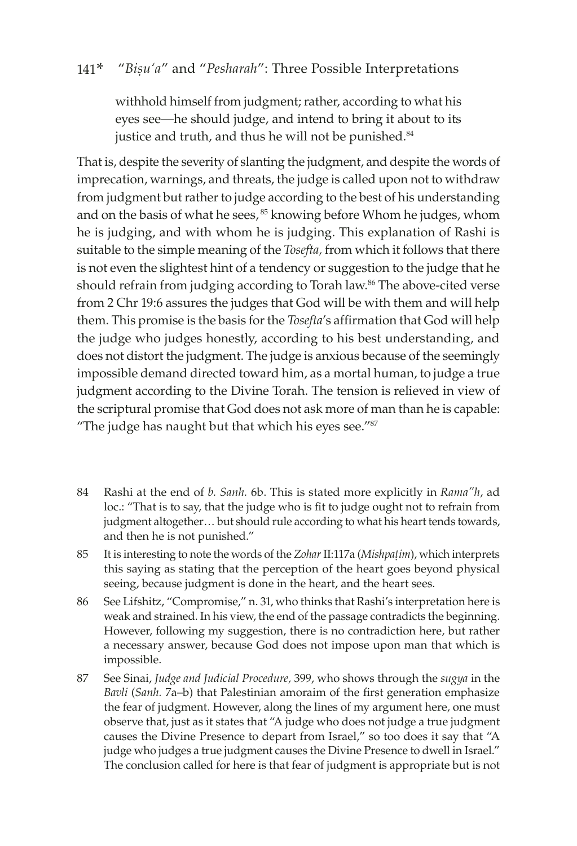withhold himself from judgment; rather, according to what his eyes see—he should judge, and intend to bring it about to its justice and truth, and thus he will not be punished.<sup>84</sup>

That is, despite the severity of slanting the judgment, and despite the words of imprecation, warnings, and threats, the judge is called upon not to withdraw from judgment but rather to judge according to the best of his understanding and on the basis of what he sees, <sup>85</sup> knowing before Whom he judges, whom he is judging, and with whom he is judging. This explanation of Rashi is suitable to the simple meaning of the *Tosefta,* from which it follows that there is not even the slightest hint of a tendency or suggestion to the judge that he should refrain from judging according to Torah law.<sup>86</sup> The above-cited verse from 2 Chr 19:6 assures the judges that God will be with them and will help them. This promise is the basis for the *Tosefta*'s affirmation that God will help the judge who judges honestly, according to his best understanding, and does not distort the judgment. The judge is anxious because of the seemingly impossible demand directed toward him, as a mortal human, to judge a true judgment according to the Divine Torah. The tension is relieved in view of the scriptural promise that God does not ask more of man than he is capable: "The judge has naught but that which his eyes see."<sup>87</sup>

- 84 Rashi at the end of *b. Sanh.* 6b. This is stated more explicitly in *Rama"h*, ad loc.: "That is to say, that the judge who is fit to judge ought not to refrain from judgment altogether… but should rule according to what his heart tends towards, and then he is not punished."
- 85 It is interesting to note the words of the *Zohar* II:117a (*Mishpaûim*), which interprets this saying as stating that the perception of the heart goes beyond physical seeing, because judgment is done in the heart, and the heart sees.
- 86 See Lifshitz, "Compromise," n. 31, who thinks that Rashi's interpretation here is weak and strained. In his view, the end of the passage contradicts the beginning. However, following my suggestion, there is no contradiction here, but rather a necessary answer, because God does not impose upon man that which is impossible.
- 87 See Sinai, *Judge and Judicial Procedure,* 399, who shows through the *sugya* in the *Bavli* (*Sanh.* 7a–b) that Palestinian amoraim of the first generation emphasize the fear of judgment. However, along the lines of my argument here, one must observe that, just as it states that "A judge who does not judge a true judgment causes the Divine Presence to depart from Israel," so too does it say that "A judge who judges a true judgment causes the Divine Presence to dwell in Israel." The conclusion called for here is that fear of judgment is appropriate but is not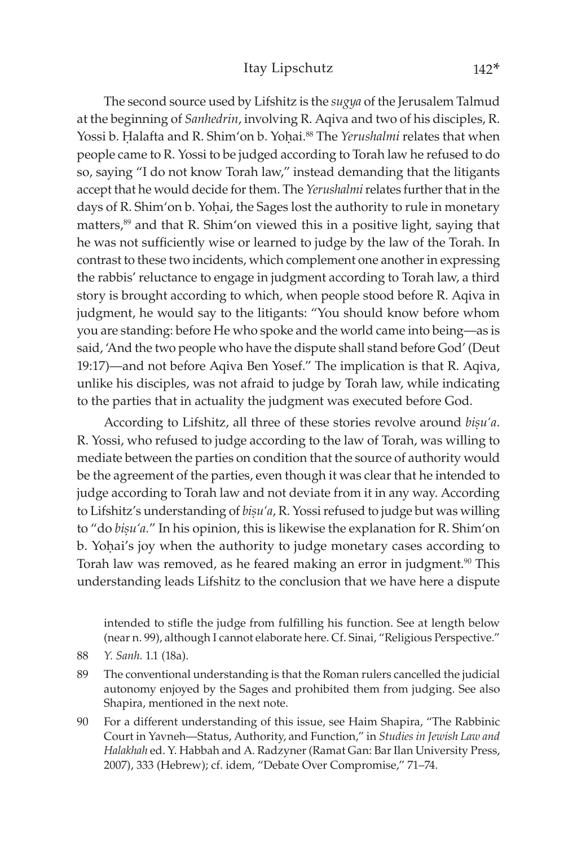The second source used by Lifshitz is the *sugya* of the Jerusalem Talmud at the beginning of *Sanhedrin*, involving R. Aqiva and two of his disciples, R. Yossi b. Halafta and R. Shim'on b. Yohai.<sup>88</sup> The *Yerushalmi* relates that when people came to R. Yossi to be judged according to Torah law he refused to do so, saying "I do not know Torah law," instead demanding that the litigants accept that he would decide for them. The *Yerushalmi* relates further that in the days of R. Shim'on b. Yohai, the Sages lost the authority to rule in monetary matters,89 and that R. Shim'on viewed this in a positive light, saying that he was not sufficiently wise or learned to judge by the law of the Torah. In contrast to these two incidents, which complement one another in expressing the rabbis' reluctance to engage in judgment according to Torah law, a third story is brought according to which, when people stood before R. Aqiva in judgment, he would say to the litigants: "You should know before whom you are standing: before He who spoke and the world came into being—as is said, 'And the two people who have the dispute shall stand before God' (Deut 19:17)—and not before Aqiva Ben Yosef." The implication is that R. Aqiva, unlike his disciples, was not afraid to judge by Torah law, while indicating to the parties that in actuality the judgment was executed before God.

According to Lifshitz, all three of these stories revolve around *bisu'a*. R. Yossi, who refused to judge according to the law of Torah, was willing to mediate between the parties on condition that the source of authority would be the agreement of the parties, even though it was clear that he intended to judge according to Torah law and not deviate from it in any way. According to Lifshitz's understanding of *bisu'a*, R. Yossi refused to judge but was willing to "do *bisu'a.*" In his opinion, this is likewise the explanation for R. Shim'on b. Yohai's joy when the authority to judge monetary cases according to Torah law was removed, as he feared making an error in judgment.<sup>90</sup> This understanding leads Lifshitz to the conclusion that we have here a dispute

intended to stifle the judge from fulfilling his function. See at length below (near n. 99), although I cannot elaborate here. Cf. Sinai, "Religious Perspective."

- 89 The conventional understanding is that the Roman rulers cancelled the judicial autonomy enjoyed by the Sages and prohibited them from judging. See also Shapira, mentioned in the next note.
- 90 For a different understanding of this issue, see Haim Shapira, "The Rabbinic Court in Yavneh—Status, Authority, and Function," in *Studies in Jewish Law and Halakhah* ed. Y. Habbah and A. Radzyner (Ramat Gan: Bar Ilan University Press, 2007), 333 (Hebrew); cf. idem, "Debate Over Compromise," 71–74.

<sup>88</sup> *Y. Sanh.* 1.1 (18a).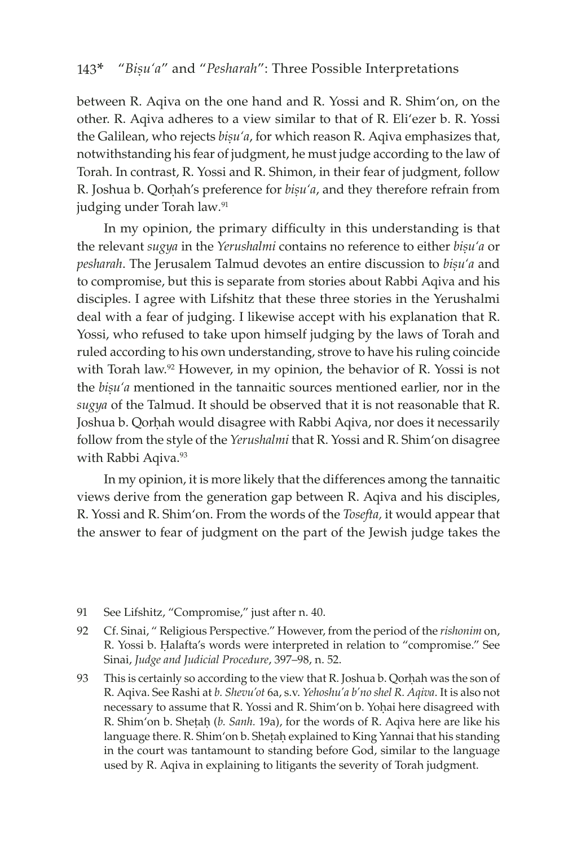between R. Aqiva on the one hand and R. Yossi and R. Shim'on, on the other. R. Aqiva adheres to a view similar to that of R. Eli'ezer b. R. Yossi the Galilean, who rejects *bisu'a*, for which reason R. Agiva emphasizes that, notwithstanding his fear of judgment, he must judge according to the law of Torah. In contrast, R. Yossi and R. Shimon, in their fear of judgment, follow R. Joshua b. Qorhah's preference for *bisu'a*, and they therefore refrain from judging under Torah law*.* 91

In my opinion, the primary difficulty in this understanding is that the relevant *sugya* in the *Yerushalmi* contains no reference to either *bisu'a* or pesharah. The Jerusalem Talmud devotes an entire discussion to bisu'a and to compromise, but this is separate from stories about Rabbi Aqiva and his disciples. I agree with Lifshitz that these three stories in the Yerushalmi deal with a fear of judging. I likewise accept with his explanation that R. Yossi, who refused to take upon himself judging by the laws of Torah and ruled according to his own understanding, strove to have his ruling coincide with Torah law.<sup>92</sup> However, in my opinion, the behavior of R. Yossi is not the *bisu'a* mentioned in the tannaitic sources mentioned earlier, nor in the *sugya* of the Talmud. It should be observed that it is not reasonable that R. Joshua b. Qorhah would disagree with Rabbi Aqiva, nor does it necessarily follow from the style of the *Yerushalmi* that R. Yossi and R. Shim'on disagree with Rabbi Aqiva.<sup>93</sup>

In my opinion, it is more likely that the differences among the tannaitic views derive from the generation gap between R. Aqiva and his disciples, R. Yossi and R. Shim'on. From the words of the *Tosefta,* it would appear that the answer to fear of judgment on the part of the Jewish judge takes the

- 91 See Lifshitz, "Compromise," just after n. 40.
- 92 Cf. Sinai, " Religious Perspective." However, from the period of the *rishonim* on, R. Yossi b. Halafta's words were interpreted in relation to "compromise." See Sinai, *Judge and Judicial Procedure*, 397–98, n. 52.
- 93 This is certainly so according to the view that R. Joshua b. Qorhah was the son of R. Aqiva. See Rashi at *b. Shevu'ot* 6a, s.v. *Yehoshu'a b'no shel R. Aqiva*. It is also not necessary to assume that R. Yossi and R. Shim'on b. Yohai here disagreed with R. Shim'on b. Sheṭaḥ (b. Sanh. 19a), for the words of R. Aqiva here are like his language there. R. Shim'on b. Sheṭaḥ explained to King Yannai that his standing in the court was tantamount to standing before God, similar to the language used by R. Aqiva in explaining to litigants the severity of Torah judgment.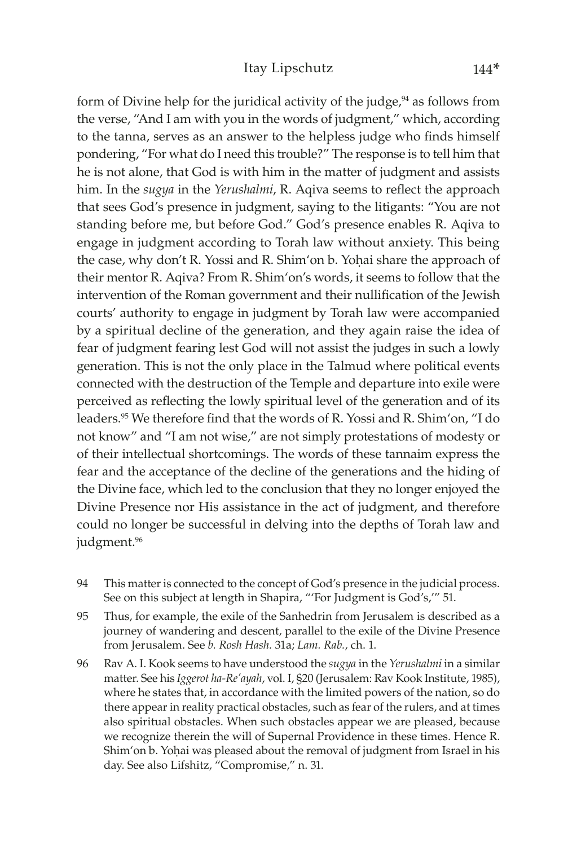### Itay Lipschutz 144\*

form of Divine help for the juridical activity of the judge, $94$  as follows from the verse, "And I am with you in the words of judgment," which, according to the tanna, serves as an answer to the helpless judge who finds himself pondering, "For what do I need this trouble?" The response is to tell him that he is not alone, that God is with him in the matter of judgment and assists him. In the *sugya* in the *Yerushalmi*, R. Aqiva seems to reflect the approach that sees God's presence in judgment, saying to the litigants: "You are not standing before me, but before God." God's presence enables R. Aqiva to engage in judgment according to Torah law without anxiety. This being the case, why don't R. Yossi and R. Shim'on b. Yohai share the approach of their mentor R. Aqiva? From R. Shim'on's words, it seems to follow that the intervention of the Roman government and their nullification of the Jewish courts' authority to engage in judgment by Torah law were accompanied by a spiritual decline of the generation, and they again raise the idea of fear of judgment fearing lest God will not assist the judges in such a lowly generation. This is not the only place in the Talmud where political events connected with the destruction of the Temple and departure into exile were perceived as reflecting the lowly spiritual level of the generation and of its leaders.<sup>95</sup> We therefore find that the words of R. Yossi and R. Shim'on, "I do not know" and "I am not wise," are not simply protestations of modesty or of their intellectual shortcomings. The words of these tannaim express the fear and the acceptance of the decline of the generations and the hiding of the Divine face, which led to the conclusion that they no longer enjoyed the Divine Presence nor His assistance in the act of judgment, and therefore could no longer be successful in delving into the depths of Torah law and judgment.<sup>96</sup>

- 94 This matter is connected to the concept of God's presence in the judicial process. See on this subject at length in Shapira, "'For Judgment is God's,'" 51.
- 95 Thus, for example, the exile of the Sanhedrin from Jerusalem is described as a journey of wandering and descent, parallel to the exile of the Divine Presence from Jerusalem. See *b. Rosh Hash.* 31a; *Lam. Rab.*, ch. 1.
- 96 Rav A. I. Kook seems to have understood the *sugya* in the *Yerushalmi* in a similar matter. See his *Iggerot ha-Re'ayah*, vol. I, §20 (Jerusalem: Rav Kook Institute, 1985), where he states that, in accordance with the limited powers of the nation, so do there appear in reality practical obstacles, such as fear of the rulers, and at times also spiritual obstacles. When such obstacles appear we are pleased, because we recognize therein the will of Supernal Providence in these times. Hence R. Shim'on b. Yohai was pleased about the removal of judgment from Israel in his day. See also Lifshitz, "Compromise," n. 31.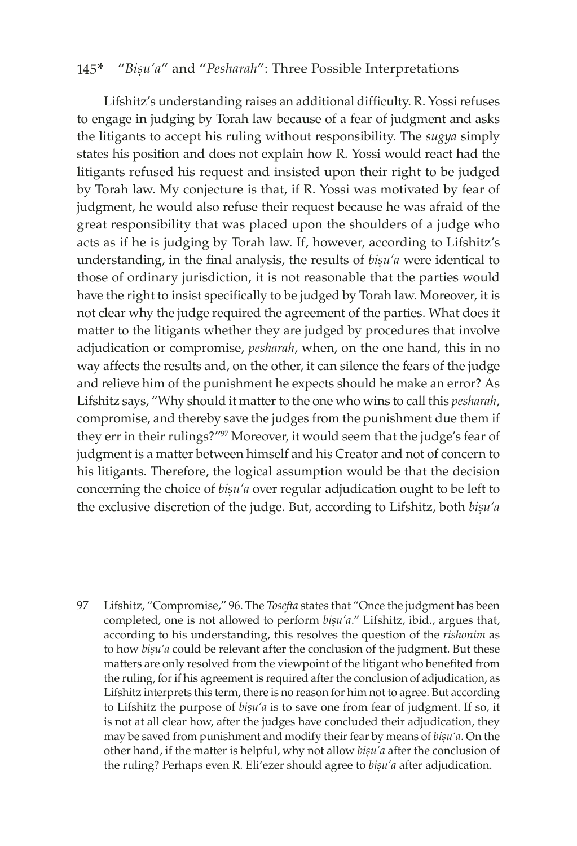Lifshitz's understanding raises an additional difficulty. R. Yossi refuses to engage in judging by Torah law because of a fear of judgment and asks the litigants to accept his ruling without responsibility. The *sugya* simply states his position and does not explain how R. Yossi would react had the litigants refused his request and insisted upon their right to be judged by Torah law. My conjecture is that, if R. Yossi was motivated by fear of judgment, he would also refuse their request because he was afraid of the great responsibility that was placed upon the shoulders of a judge who acts as if he is judging by Torah law. If, however, according to Lifshitz's understanding, in the final analysis, the results of *bisu'a* were identical to those of ordinary jurisdiction, it is not reasonable that the parties would have the right to insist specifically to be judged by Torah law. Moreover, it is not clear why the judge required the agreement of the parties. What does it matter to the litigants whether they are judged by procedures that involve adjudication or compromise, *pesharah*, when, on the one hand, this in no way affects the results and, on the other, it can silence the fears of the judge and relieve him of the punishment he expects should he make an error? As Lifshitz says, "Why should it matter to the one who wins to call this *pesharah*, compromise, and thereby save the judges from the punishment due them if they err in their rulings?"97 Moreover, it would seem that the judge's fear of judgment is a matter between himself and his Creator and not of concern to his litigants. Therefore, the logical assumption would be that the decision concerning the choice of *bisu'a* over regular adjudication ought to be left to the exclusive discretion of the judge. But, according to Lifshitz, both *bisu'a* 

97 Lifshitz, "Compromise," 96. The *Tosefta* states that "Once the judgment has been completed, one is not allowed to perform  $b$ isu'a." Lifshitz, ibid., argues that, according to his understanding, this resolves the question of the *rishonim* as to how *bisu'a* could be relevant after the conclusion of the judgment. But these matters are only resolved from the viewpoint of the litigant who benefited from the ruling, for if his agreement is required after the conclusion of adjudication, as Lifshitz interprets this term, there is no reason for him not to agree. But according to Lifshitz the purpose of *bisu'a* is to save one from fear of judgment. If so, it is not at all clear how, after the judges have concluded their adjudication, they may be saved from punishment and modify their fear by means of *bisu'a*. On the other hand, if the matter is helpful, why not allow *bisu'a* after the conclusion of the ruling? Perhaps even R. Eli'ezer should agree to *bisu'a* after adjudication.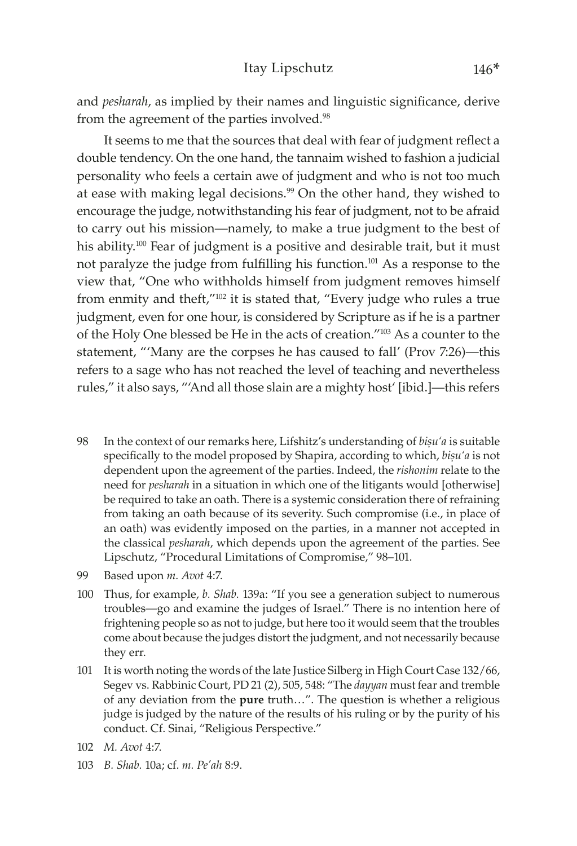and *pesharah*, as implied by their names and linguistic significance, derive from the agreement of the parties involved.<sup>98</sup>

It seems to me that the sources that deal with fear of judgment reflect a double tendency. On the one hand, the tannaim wished to fashion a judicial personality who feels a certain awe of judgment and who is not too much at ease with making legal decisions.<sup>99</sup> On the other hand, they wished to encourage the judge, notwithstanding his fear of judgment, not to be afraid to carry out his mission—namely, to make a true judgment to the best of his ability.<sup>100</sup> Fear of judgment is a positive and desirable trait, but it must not paralyze the judge from fulfilling his function.101 As a response to the view that, "One who withholds himself from judgment removes himself from enmity and theft,"102 it is stated that, "Every judge who rules a true judgment, even for one hour, is considered by Scripture as if he is a partner of the Holy One blessed be He in the acts of creation."103 As a counter to the statement, "'Many are the corpses he has caused to fall' (Prov 7:26)—this refers to a sage who has not reached the level of teaching and nevertheless rules," it also says, "'And all those slain are a mighty host' [ibid.]—this refers

- 98 In the context of our remarks here, Lifshitz's understanding of *bisu'a* is suitable specifically to the model proposed by Shapira, according to which, *bisu'a* is not dependent upon the agreement of the parties. Indeed, the *rishonim* relate to the need for *pesharah* in a situation in which one of the litigants would [otherwise] be required to take an oath. There is a systemic consideration there of refraining from taking an oath because of its severity. Such compromise (i.e., in place of an oath) was evidently imposed on the parties, in a manner not accepted in the classical *pesharah*, which depends upon the agreement of the parties. See Lipschutz, "Procedural Limitations of Compromise," 98–101.
- 99 Based upon *m. Avot* 4:7.
- 100 Thus, for example, *b. Shab.* 139a: "If you see a generation subject to numerous troubles—go and examine the judges of Israel." There is no intention here of frightening people so as not to judge, but here too it would seem that the troubles come about because the judges distort the judgment, and not necessarily because they err.
- 101 It is worth noting the words of the late Justice Silberg in High Court Case 132/66, Segev vs. Rabbinic Court, PD 21 (2), 505, 548: "The *dayyan* must fear and tremble of any deviation from the **pure** truth…". The question is whether a religious judge is judged by the nature of the results of his ruling or by the purity of his conduct. Cf. Sinai, "Religious Perspective."
- 102 *M. Avot* 4:7.
- 103 *B. Shab.* 10a; cf. *m. Pe'ah* 8:9.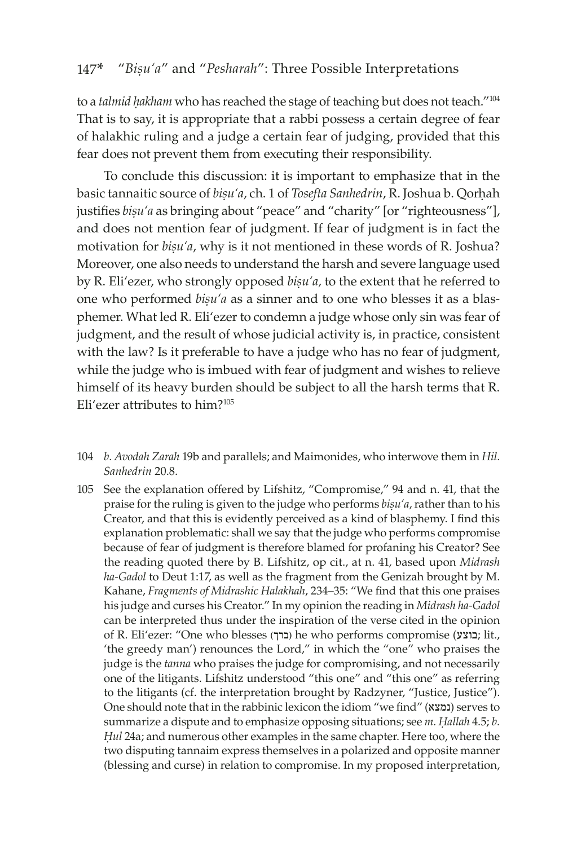to a *talmid hakham* who has reached the stage of teaching but does not teach."<sup>104</sup> That is to say, it is appropriate that a rabbi possess a certain degree of fear of halakhic ruling and a judge a certain fear of judging, provided that this fear does not prevent them from executing their responsibility.

To conclude this discussion: it is important to emphasize that in the basic tannaitic source of *bisu'a*, ch. 1 of *Tosefta Sanhedrin*, R. Joshua b. Qorhah justifies *bisu'a* as bringing about "peace" and "charity" [or "righteousness"], and does not mention fear of judgment. If fear of judgment is in fact the motivation for *bisu'a*, why is it not mentioned in these words of R. Joshua? Moreover, one also needs to understand the harsh and severe language used by R. Eli'ezer, who strongly opposed *bisu'a*, to the extent that he referred to one who performed *bisu'a* as a sinner and to one who blesses it as a blasphemer. What led R. Eli'ezer to condemn a judge whose only sin was fear of judgment, and the result of whose judicial activity is, in practice, consistent with the law? Is it preferable to have a judge who has no fear of judgment, while the judge who is imbued with fear of judgment and wishes to relieve himself of its heavy burden should be subject to all the harsh terms that R. Eli'ezer attributes to him?<sup>105</sup>

- 104 *b. Avodah Zarah* 19b and parallels; and Maimonides, who interwove them in *Hil. Sanhedrin* 20.8.
- 105 See the explanation offered by Lifshitz, "Compromise," 94 and n. 41, that the praise for the ruling is given to the judge who performs *bisu'a*, rather than to his Creator, and that this is evidently perceived as a kind of blasphemy. I find this explanation problematic: shall we say that the judge who performs compromise because of fear of judgment is therefore blamed for profaning his Creator? See the reading quoted there by B. Lifshitz, op cit., at n. 41, based upon *Midrash ha-Gadol* to Deut 1:17, as well as the fragment from the Genizah brought by M. Kahane, *Fragments of Midrashic Halakhah*, 234–35: "We find that this one praises his judge and curses his Creator." In my opinion the reading in *Midrash ha-Gadol* can be interpreted thus under the inspiration of the verse cited in the opinion of R. Eli'ezer: "One who blesses (ברך; )he who performs compromise (בוצע; lit., 'the greedy man') renounces the Lord," in which the "one" who praises the judge is the *tanna* who praises the judge for compromising, and not necessarily one of the litigants. Lifshitz understood "this one" and "this one" as referring to the litigants (cf. the interpretation brought by Radzyner, "Justice, Justice"). One should note that in the rabbinic lexicon the idiom "we find" (נמצא (serves to summarize a dispute and to emphasize opposing situations; see *m. Hallah* 4.5; *b. Êul* 24a; and numerous other examples in the same chapter. Here too, where the two disputing tannaim express themselves in a polarized and opposite manner (blessing and curse) in relation to compromise. In my proposed interpretation,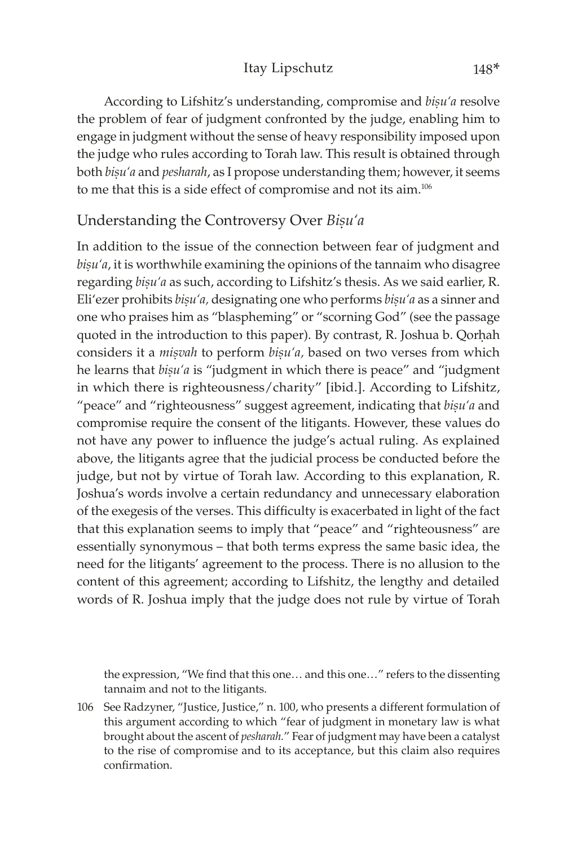According to Lifshitz's understanding, compromise and *bisu'a* resolve the problem of fear of judgment confronted by the judge, enabling him to engage in judgment without the sense of heavy responsibility imposed upon the judge who rules according to Torah law. This result is obtained through both *bisu'a* and *pesharah*, as I propose understanding them; however, it seems to me that this is a side effect of compromise and not its aim.<sup>106</sup>

# Understanding the Controversy Over *Biúu'a*

In addition to the issue of the connection between fear of judgment and bisu'a, it is worthwhile examining the opinions of the tannaim who disagree regarding *bisu'a* as such, according to Lifshitz's thesis. As we said earlier, R. Eli'ezer prohibits *bisu'a*, designating one who performs *bisu'a* as a sinner and one who praises him as "blaspheming" or "scorning God" (see the passage quoted in the introduction to this paper). By contrast, R. Joshua b. Qorhah considers it a *misvah* to perform *bisu'a*, based on two verses from which he learns that *bisu'a* is "judgment in which there is peace" and "judgment in which there is righteousness/charity" [ibid.]. According to Lifshitz, "peace" and "righteousness" suggest agreement, indicating that *bisu'a* and compromise require the consent of the litigants. However, these values do not have any power to influence the judge's actual ruling. As explained above, the litigants agree that the judicial process be conducted before the judge, but not by virtue of Torah law. According to this explanation, R. Joshua's words involve a certain redundancy and unnecessary elaboration of the exegesis of the verses. This difficulty is exacerbated in light of the fact that this explanation seems to imply that "peace" and "righteousness" are essentially synonymous – that both terms express the same basic idea, the need for the litigants' agreement to the process. There is no allusion to the content of this agreement; according to Lifshitz, the lengthy and detailed words of R. Joshua imply that the judge does not rule by virtue of Torah

the expression, "We find that this one… and this one…" refers to the dissenting tannaim and not to the litigants.

106 See Radzyner, "Justice, Justice," n. 100, who presents a different formulation of this argument according to which "fear of judgment in monetary law is what brought about the ascent of *pesharah.*" Fear of judgment may have been a catalyst to the rise of compromise and to its acceptance, but this claim also requires confirmation.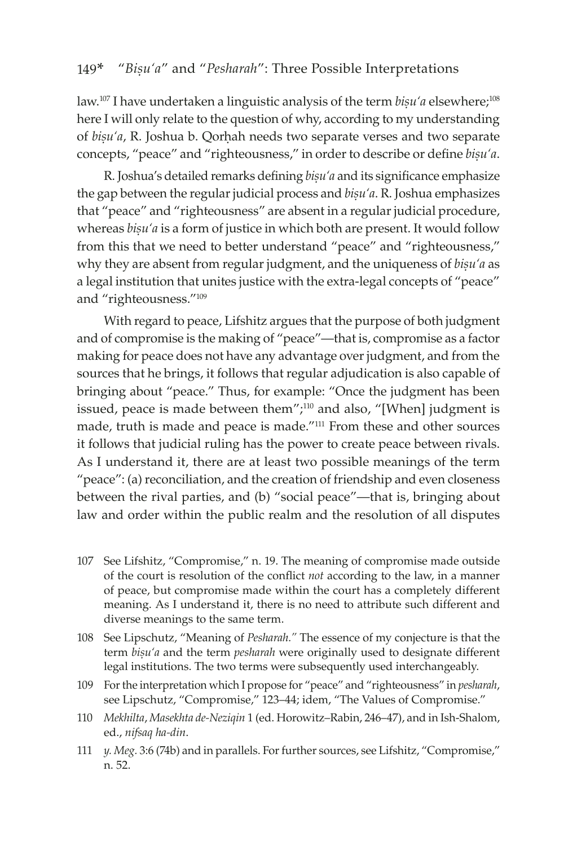law.<sup>107</sup> I have undertaken a linguistic analysis of the term *bisu'a* elsewhere;<sup>108</sup> here I will only relate to the question of why, according to my understanding of *bisu'a*, R. Joshua b. Qorhah needs two separate verses and two separate concepts, "peace" and "righteousness," in order to describe or define *bisu'a*.

R. Joshua's detailed remarks defining *bisu'a* and its significance emphasize the gap between the regular judicial process and  $b$ *isu'a*. R. Joshua emphasizes that "peace" and "righteousness" are absent in a regular judicial procedure, whereas *bisu'a* is a form of justice in which both are present. It would follow from this that we need to better understand "peace" and "righteousness," why they are absent from regular judgment, and the uniqueness of *bisu'a* as a legal institution that unites justice with the extra-legal concepts of "peace" and "righteousness."<sup>109</sup>

With regard to peace, Lifshitz argues that the purpose of both judgment and of compromise is the making of "peace"—that is, compromise as a factor making for peace does not have any advantage over judgment, and from the sources that he brings, it follows that regular adjudication is also capable of bringing about "peace." Thus, for example: "Once the judgment has been issued, peace is made between them";<sup>110</sup> and also, "[When] judgment is made, truth is made and peace is made."111 From these and other sources it follows that judicial ruling has the power to create peace between rivals. As I understand it, there are at least two possible meanings of the term "peace": (a) reconciliation, and the creation of friendship and even closeness between the rival parties, and (b) "social peace"—that is, bringing about law and order within the public realm and the resolution of all disputes

- 107 See Lifshitz, "Compromise," n. 19. The meaning of compromise made outside of the court is resolution of the conflict *not* according to the law, in a manner of peace, but compromise made within the court has a completely different meaning. As I understand it, there is no need to attribute such different and diverse meanings to the same term.
- 108 See Lipschutz, "Meaning of *Pesharah."* The essence of my conjecture is that the term *bișu'a* and the term *pesharah* were originally used to designate different legal institutions. The two terms were subsequently used interchangeably.
- 109 For the interpretation which I propose for "peace" and "righteousness" in *pesharah*, see Lipschutz, "Compromise," 123–44; idem, "The Values of Compromise."
- 110 *Mekhilta*, *Masekhta de-Neziqin* 1 (ed. Horowitz–Rabin, 246–47), and in Ish-Shalom, ed., *nifsaq ha-din*.
- 111 *y. Meg.* 3:6 (74b) and in parallels. For further sources, see Lifshitz, "Compromise," n. 52.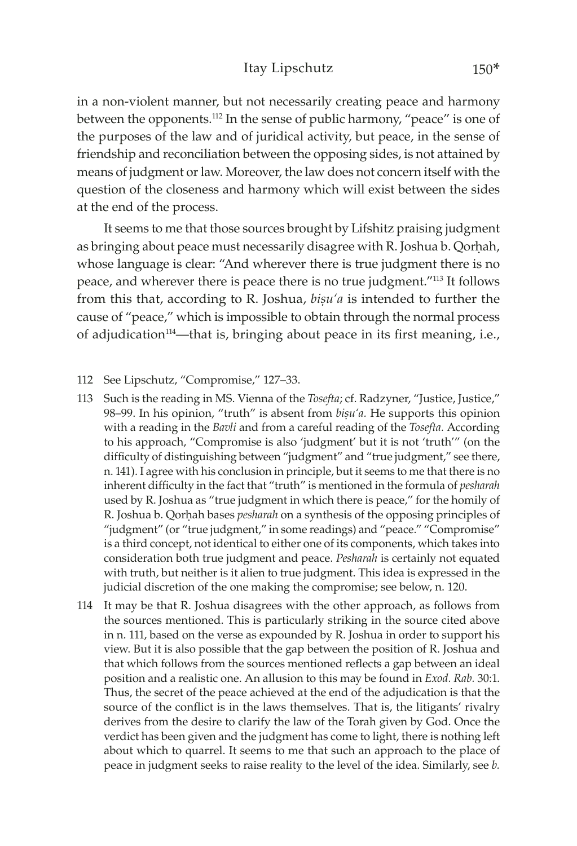#### Itay Lipschutz 150\*

in a non-violent manner, but not necessarily creating peace and harmony between the opponents.112 In the sense of public harmony, "peace" is one of the purposes of the law and of juridical activity, but peace, in the sense of friendship and reconciliation between the opposing sides, is not attained by means of judgment or law. Moreover, the law does not concern itself with the question of the closeness and harmony which will exist between the sides at the end of the process.

It seems to me that those sources brought by Lifshitz praising judgment as bringing about peace must necessarily disagree with R. Joshua b. Qorhah, whose language is clear: "And wherever there is true judgment there is no peace, and wherever there is peace there is no true judgment."113 It follows from this that, according to R. Joshua, *bisu'a* is intended to further the cause of "peace," which is impossible to obtain through the normal process of adjudication114—that is, bringing about peace in its first meaning, i.e.,

- 112 See Lipschutz, "Compromise," 127–33.
- 113 Such is the reading in MS. Vienna of the *Tosefta*; cf. Radzyner, "Justice, Justice," 98–99. In his opinion, "truth" is absent from *bisu'a*. He supports this opinion with a reading in the *Bavli* and from a careful reading of the *Tosefta.* According to his approach, "Compromise is also 'judgment' but it is not 'truth'" (on the difficulty of distinguishing between "judgment" and "true judgment," see there, n. 141). I agree with his conclusion in principle, but it seems to me that there is no inherent difficulty in the fact that "truth" is mentioned in the formula of *pesharah* used by R. Joshua as "true judgment in which there is peace," for the homily of R. Joshua b. Qorhah bases *pesharah* on a synthesis of the opposing principles of "judgment" (or "true judgment," in some readings) and "peace." "Compromise" is a third concept, not identical to either one of its components, which takes into consideration both true judgment and peace. *Pesharah* is certainly not equated with truth, but neither is it alien to true judgment. This idea is expressed in the judicial discretion of the one making the compromise; see below, n. 120.
- 114 It may be that R. Joshua disagrees with the other approach, as follows from the sources mentioned. This is particularly striking in the source cited above in n. 111, based on the verse as expounded by R. Joshua in order to support his view. But it is also possible that the gap between the position of R. Joshua and that which follows from the sources mentioned reflects a gap between an ideal position and a realistic one. An allusion to this may be found in *Exod. Rab.* 30:1. Thus, the secret of the peace achieved at the end of the adjudication is that the source of the conflict is in the laws themselves. That is, the litigants' rivalry derives from the desire to clarify the law of the Torah given by God. Once the verdict has been given and the judgment has come to light, there is nothing left about which to quarrel. It seems to me that such an approach to the place of peace in judgment seeks to raise reality to the level of the idea. Similarly, see *b.*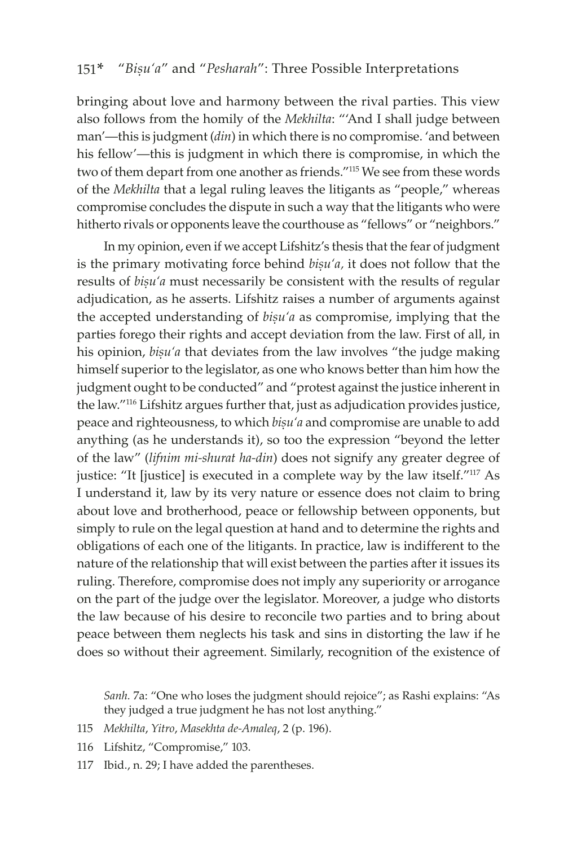bringing about love and harmony between the rival parties. This view also follows from the homily of the *Mekhilta*: "'And I shall judge between man'—this is judgment (*din*) in which there is no compromise. 'and between his fellow'—this is judgment in which there is compromise, in which the two of them depart from one another as friends."115 We see from these words of the *Mekhilta* that a legal ruling leaves the litigants as "people," whereas compromise concludes the dispute in such a way that the litigants who were hitherto rivals or opponents leave the courthouse as "fellows" or "neighbors."

In my opinion, even if we accept Lifshitz's thesis that the fear of judgment is the primary motivating force behind *bisu'a*, it does not follow that the results of *bisu'a* must necessarily be consistent with the results of regular adjudication, as he asserts. Lifshitz raises a number of arguments against the accepted understanding of *bisu'a* as compromise, implying that the parties forego their rights and accept deviation from the law. First of all, in his opinion, *bisu'a* that deviates from the law involves "the judge making himself superior to the legislator, as one who knows better than him how the judgment ought to be conducted" and "protest against the justice inherent in the law."116 Lifshitz argues further that, just as adjudication provides justice, peace and righteousness, to which *bisu'a* and compromise are unable to add anything (as he understands it), so too the expression "beyond the letter of the law" (*lifnim mi-shurat ha-din*) does not signify any greater degree of justice: "It [justice] is executed in a complete way by the law itself."117 As I understand it, law by its very nature or essence does not claim to bring about love and brotherhood, peace or fellowship between opponents, but simply to rule on the legal question at hand and to determine the rights and obligations of each one of the litigants. In practice, law is indifferent to the nature of the relationship that will exist between the parties after it issues its ruling. Therefore, compromise does not imply any superiority or arrogance on the part of the judge over the legislator. Moreover, a judge who distorts the law because of his desire to reconcile two parties and to bring about peace between them neglects his task and sins in distorting the law if he does so without their agreement. Similarly, recognition of the existence of

*Sanh.* 7a: "One who loses the judgment should rejoice"; as Rashi explains: "As they judged a true judgment he has not lost anything."

- 115 *Mekhilta*, *Yitro*, *Masekhta de-Amaleq*, 2 (p. 196).
- 116 Lifshitz, "Compromise," 103.
- 117 Ibid., n. 29; I have added the parentheses.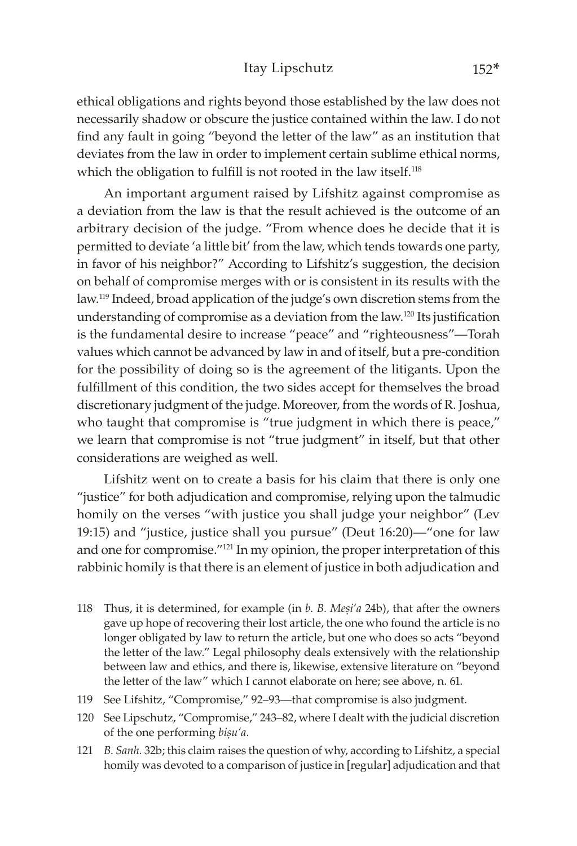#### Itay Lipschutz 152\*

ethical obligations and rights beyond those established by the law does not necessarily shadow or obscure the justice contained within the law. I do not find any fault in going "beyond the letter of the law" as an institution that deviates from the law in order to implement certain sublime ethical norms, which the obligation to fulfill is not rooted in the law itself.<sup>118</sup>

An important argument raised by Lifshitz against compromise as a deviation from the law is that the result achieved is the outcome of an arbitrary decision of the judge. "From whence does he decide that it is permitted to deviate 'a little bit' from the law, which tends towards one party, in favor of his neighbor?" According to Lifshitz's suggestion, the decision on behalf of compromise merges with or is consistent in its results with the law.119 Indeed, broad application of the judge's own discretion stems from the understanding of compromise as a deviation from the law.<sup>120</sup> Its justification is the fundamental desire to increase "peace" and "righteousness"—Torah values which cannot be advanced by law in and of itself, but a pre-condition for the possibility of doing so is the agreement of the litigants. Upon the fulfillment of this condition, the two sides accept for themselves the broad discretionary judgment of the judge. Moreover, from the words of R. Joshua, who taught that compromise is "true judgment in which there is peace," we learn that compromise is not "true judgment" in itself, but that other considerations are weighed as well.

Lifshitz went on to create a basis for his claim that there is only one "justice" for both adjudication and compromise, relying upon the talmudic homily on the verses "with justice you shall judge your neighbor" (Lev 19:15) and "justice, justice shall you pursue" (Deut 16:20)—"one for law and one for compromise."121 In my opinion, the proper interpretation of this rabbinic homily is that there is an element of justice in both adjudication and

- 118 Thus, it is determined, for example (in *b. B. Mesi'a* 24b), that after the owners gave up hope of recovering their lost article, the one who found the article is no longer obligated by law to return the article, but one who does so acts "beyond the letter of the law." Legal philosophy deals extensively with the relationship between law and ethics, and there is, likewise, extensive literature on "beyond the letter of the law" which I cannot elaborate on here; see above, n. 61.
- 119 See Lifshitz, "Compromise," 92–93—that compromise is also judgment.
- 120 See Lipschutz, "Compromise," 243–82, where I dealt with the judicial discretion of the one performing *biúu'a*.
- 121 *B. Sanh.* 32b; this claim raises the question of why, according to Lifshitz, a special homily was devoted to a comparison of justice in [regular] adjudication and that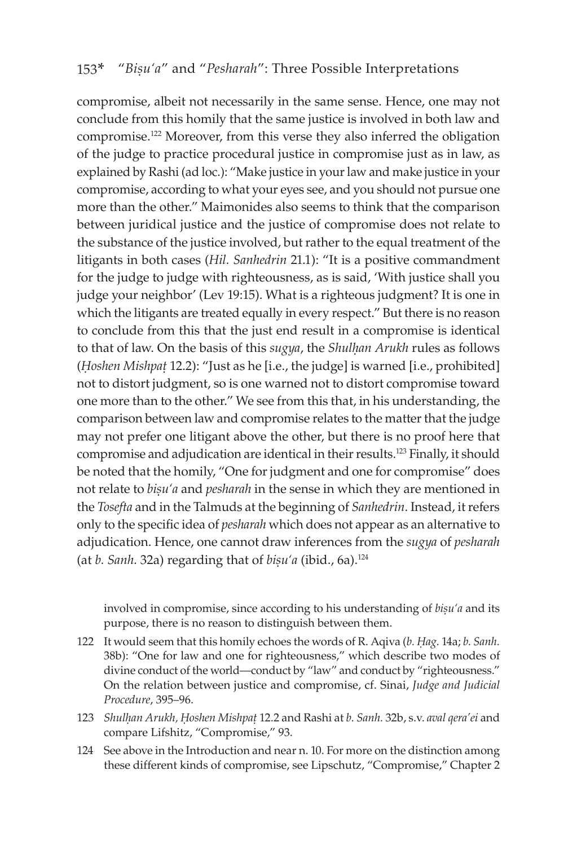compromise, albeit not necessarily in the same sense. Hence, one may not conclude from this homily that the same justice is involved in both law and compromise.122 Moreover, from this verse they also inferred the obligation of the judge to practice procedural justice in compromise just as in law, as explained by Rashi (ad loc.): "Make justice in your law and make justice in your compromise, according to what your eyes see, and you should not pursue one more than the other." Maimonides also seems to think that the comparison between juridical justice and the justice of compromise does not relate to the substance of the justice involved, but rather to the equal treatment of the litigants in both cases (*Hil. Sanhedrin* 21.1): "It is a positive commandment for the judge to judge with righteousness, as is said, 'With justice shall you judge your neighbor' (Lev 19:15). What is a righteous judgment? It is one in which the litigants are treated equally in every respect." But there is no reason to conclude from this that the just end result in a compromise is identical to that of law. On the basis of this *sugya*, the *Shulhan Arukh* rules as follows (*Hoshen Mishpat* 12.2): "Just as he [i.e., the judge] is warned [i.e., prohibited] not to distort judgment, so is one warned not to distort compromise toward one more than to the other." We see from this that, in his understanding, the comparison between law and compromise relates to the matter that the judge may not prefer one litigant above the other, but there is no proof here that compromise and adjudication are identical in their results.123 Finally, it should be noted that the homily, "One for judgment and one for compromise" does not relate to *biúu'a* and *pesharah* in the sense in which they are mentioned in the *Tosefta* and in the Talmuds at the beginning of *Sanhedrin*. Instead, it refers only to the specific idea of *pesharah* which does not appear as an alternative to adjudication. Hence, one cannot draw inferences from the *sugya* of *pesharah* (at *b. Sanh.* 32a) regarding that of *bisu'a* (ibid., 6a).<sup>124</sup>

involved in compromise, since according to his understanding of *bisu'a* and its purpose, there is no reason to distinguish between them.

- 122 It would seem that this homily echoes the words of R. Aqiva (*b. Êag.* 14a; *b. Sanh.* 38b): "One for law and one for righteousness," which describe two modes of divine conduct of the world—conduct by "law" and conduct by "righteousness." On the relation between justice and compromise, cf. Sinai, *Judge and Judicial Procedure*, 395–96.
- 123 *Shulêan Arukh, Êoshen Mishpaû* 12.2 and Rashi at *b. Sanh.* 32b, s.v. *aval qera'ei* and compare Lifshitz, "Compromise," 93.
- 124 See above in the Introduction and near n. 10. For more on the distinction among these different kinds of compromise, see Lipschutz, "Compromise," Chapter 2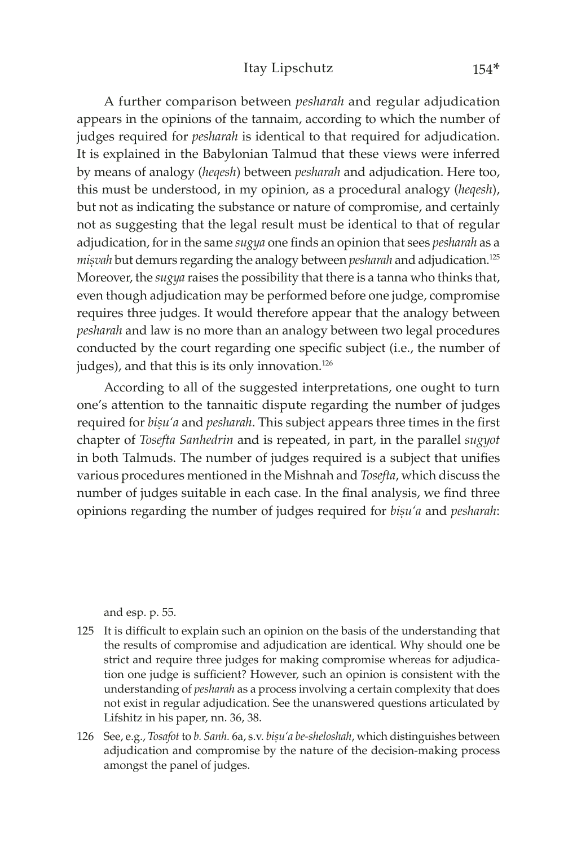A further comparison between *pesharah* and regular adjudication appears in the opinions of the tannaim, according to which the number of judges required for *pesharah* is identical to that required for adjudication. It is explained in the Babylonian Talmud that these views were inferred by means of analogy (*heqesh*) between *pesharah* and adjudication. Here too, this must be understood, in my opinion, as a procedural analogy (*heqesh*), but not as indicating the substance or nature of compromise, and certainly not as suggesting that the legal result must be identical to that of regular adjudication, for in the same *sugya* one finds an opinion that sees *pesharah* as a *misvah* but demurs regarding the analogy between *pesharah* and adjudication.<sup>125</sup> Moreover, the *sugya* raises the possibility that there is a tanna who thinks that, even though adjudication may be performed before one judge, compromise requires three judges. It would therefore appear that the analogy between *pesharah* and law is no more than an analogy between two legal procedures conducted by the court regarding one specific subject (i.e., the number of judges), and that this is its only innovation.<sup>126</sup>

According to all of the suggested interpretations, one ought to turn one's attention to the tannaitic dispute regarding the number of judges required for *bisu'a* and *pesharah*. This subject appears three times in the first chapter of *Tosefta Sanhedrin* and is repeated, in part, in the parallel *sugyot* in both Talmuds. The number of judges required is a subject that unifies various procedures mentioned in the Mishnah and *Tosefta*, which discuss the number of judges suitable in each case. In the final analysis, we find three opinions regarding the number of judges required for *bisu'a* and *pesharah*:

and esp. p. 55.

- 125 It is difficult to explain such an opinion on the basis of the understanding that the results of compromise and adjudication are identical. Why should one be strict and require three judges for making compromise whereas for adjudication one judge is sufficient? However, such an opinion is consistent with the understanding of *pesharah* as a process involving a certain complexity that does not exist in regular adjudication. See the unanswered questions articulated by Lifshitz in his paper, nn. 36, 38.
- 126 See, e.g., *Tosafot* to *b. Sanh. 6a, s.v. bișu'a be-sheloshah*, which distinguishes between adjudication and compromise by the nature of the decision-making process amongst the panel of judges.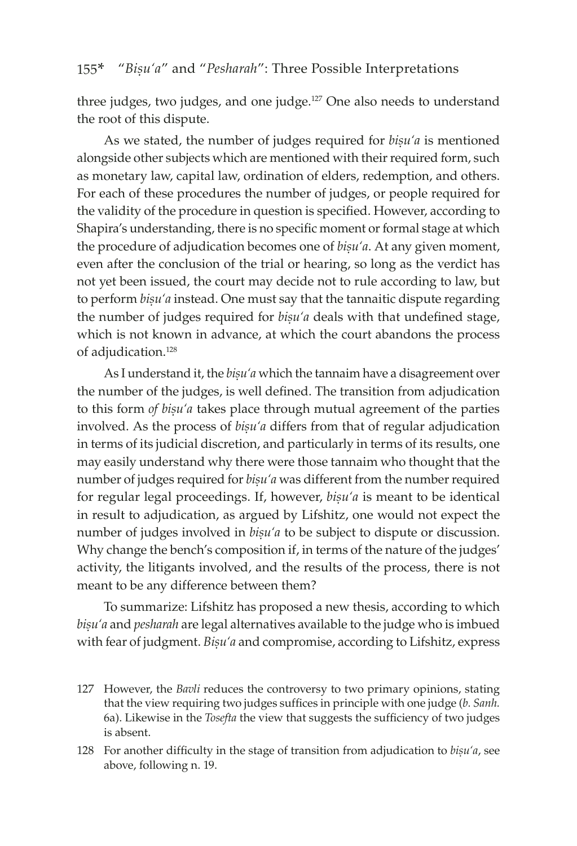three judges, two judges, and one judge.<sup>127</sup> One also needs to understand the root of this dispute.

As we stated, the number of judges required for *bisu'a* is mentioned alongside other subjects which are mentioned with their required form, such as monetary law, capital law, ordination of elders, redemption, and others. For each of these procedures the number of judges, or people required for the validity of the procedure in question is specified. However, according to Shapira's understanding, there is no specific moment or formal stage at which the procedure of adjudication becomes one of *bisu'a*. At any given moment, even after the conclusion of the trial or hearing, so long as the verdict has not yet been issued, the court may decide not to rule according to law, but to perform *bisu'a* instead. One must say that the tannaitic dispute regarding the number of judges required for *bisu'a* deals with that undefined stage, which is not known in advance, at which the court abandons the process of adjudication.<sup>128</sup>

As I understand it, the *bisu'a* which the tannaim have a disagreement over the number of the judges, is well defined. The transition from adjudication to this form *of bisu'a* takes place through mutual agreement of the parties involved. As the process of *bisu'a* differs from that of regular adjudication in terms of its judicial discretion, and particularly in terms of its results, one may easily understand why there were those tannaim who thought that the number of judges required for *bisu'a* was different from the number required for regular legal proceedings. If, however, *bisu'a* is meant to be identical in result to adjudication, as argued by Lifshitz, one would not expect the number of judges involved in *bisu'a* to be subject to dispute or discussion. Why change the bench's composition if, in terms of the nature of the judges' activity, the litigants involved, and the results of the process, there is not meant to be any difference between them?

To summarize: Lifshitz has proposed a new thesis, according to which bisu'a and *pesharah* are legal alternatives available to the judge who is imbued with fear of judgment. *Bisu'a* and compromise, according to Lifshitz, express

127 However, the *Bavli* reduces the controversy to two primary opinions, stating that the view requiring two judges suffices in principle with one judge (*b. Sanh.* 6a). Likewise in the *Tosefta* the view that suggests the sufficiency of two judges is absent.

128 For another difficulty in the stage of transition from adjudication to *bisu'a*, see above, following n. 19.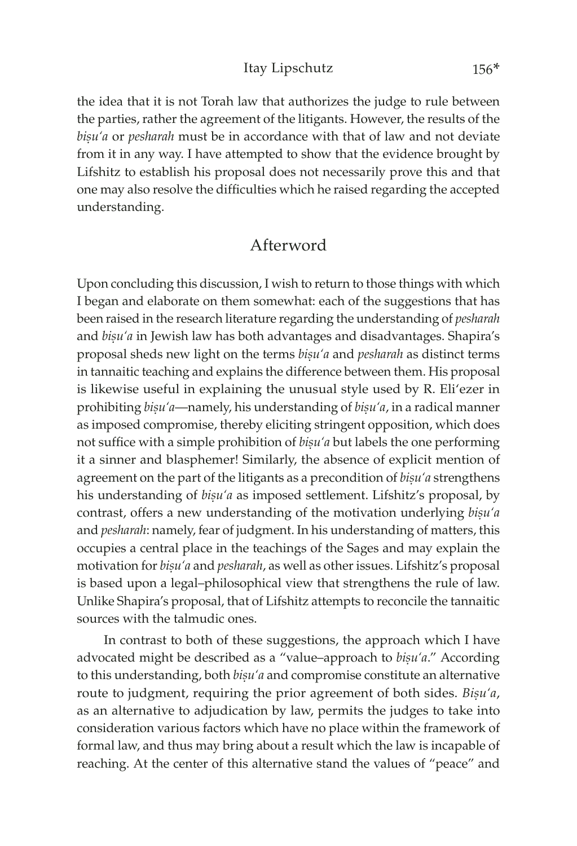the idea that it is not Torah law that authorizes the judge to rule between the parties, rather the agreement of the litigants. However, the results of the bisu'a or *pesharah* must be in accordance with that of law and not deviate from it in any way. I have attempted to show that the evidence brought by Lifshitz to establish his proposal does not necessarily prove this and that one may also resolve the difficulties which he raised regarding the accepted understanding.

### Afterword

Upon concluding this discussion, I wish to return to those things with which I began and elaborate on them somewhat: each of the suggestions that has been raised in the research literature regarding the understanding of *pesharah* and *bisu'a* in Jewish law has both advantages and disadvantages. Shapira's proposal sheds new light on the terms *biúu'a* and *pesharah* as distinct terms in tannaitic teaching and explains the difference between them. His proposal is likewise useful in explaining the unusual style used by R. Eli'ezer in prohibiting *bisu'a*—namely, his understanding of *bisu'a*, in a radical manner as imposed compromise, thereby eliciting stringent opposition, which does not suffice with a simple prohibition of *bisu'a* but labels the one performing it a sinner and blasphemer! Similarly, the absence of explicit mention of agreement on the part of the litigants as a precondition of *bisu'a* strengthens his understanding of *bisu'a* as imposed settlement. Lifshitz's proposal, by contrast, offers a new understanding of the motivation underlying *bisu'a* and *pesharah*: namely, fear of judgment. In his understanding of matters, this occupies a central place in the teachings of the Sages and may explain the motivation for *bișu'a* and *pesharah*, as well as other issues. Lifshitz's proposal is based upon a legal–philosophical view that strengthens the rule of law. Unlike Shapira's proposal, that of Lifshitz attempts to reconcile the tannaitic sources with the talmudic ones.

In contrast to both of these suggestions, the approach which I have advocated might be described as a "value–approach to *bisu'a*." According to this understanding, both *bisu'a* and compromise constitute an alternative route to judgment, requiring the prior agreement of both sides. *Bisu'a*, as an alternative to adjudication by law, permits the judges to take into consideration various factors which have no place within the framework of formal law, and thus may bring about a result which the law is incapable of reaching. At the center of this alternative stand the values of "peace" and